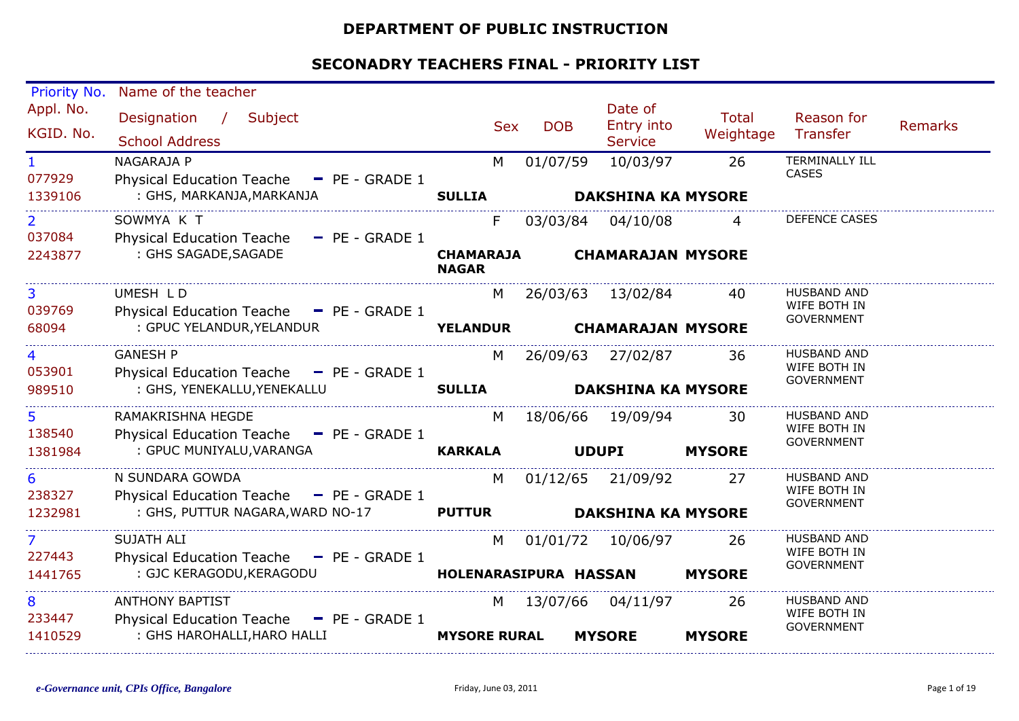#### **DEPARTMENT OF PUBLIC INSTRUCTION**

| Priority No.             | Name of the teacher                                                |                                  |            |                                         |                           |                                                         |                |
|--------------------------|--------------------------------------------------------------------|----------------------------------|------------|-----------------------------------------|---------------------------|---------------------------------------------------------|----------------|
| Appl. No.<br>KGID. No.   | Designation /<br>Subject<br><b>School Address</b>                  | <b>Sex</b>                       | <b>DOB</b> | Date of<br>Entry into<br><b>Service</b> | <b>Total</b><br>Weightage | Reason for<br>Transfer                                  | <b>Remarks</b> |
| $\mathbf{1}$<br>077929   | NAGARAJA P<br>Physical Education Teache - PE - GRADE 1             | M                                | 01/07/59   | 10/03/97                                | 26                        | <b>TERMINALLY ILL</b><br><b>CASES</b>                   |                |
| 1339106                  | : GHS, MARKANJA, MARKANJA                                          | <b>SULLIA</b>                    |            | <b>DAKSHINA KA MYSORE</b>               |                           |                                                         |                |
| $\overline{2}$<br>037084 | SOWMYA K T<br>Physical Education Teache - PE - GRADE 1             | F.                               | 03/03/84   | 04/10/08                                | $\overline{4}$            | <b>DEFENCE CASES</b>                                    |                |
| 2243877                  | : GHS SAGADE, SAGADE                                               | <b>CHAMARAJA</b><br><b>NAGAR</b> |            | <b>CHAMARAJAN MYSORE</b>                |                           |                                                         |                |
| $\overline{3}$<br>039769 | UMESH LD<br>Physical Education Teache - PE - GRADE 1               | M                                |            | 26/03/63 13/02/84                       | 40                        | <b>HUSBAND AND</b><br>WIFE BOTH IN<br><b>GOVERNMENT</b> |                |
| 68094                    | : GPUC YELANDUR, YELANDUR                                          | <b>YELANDUR</b>                  |            | <b>CHAMARAJAN MYSORE</b>                |                           |                                                         |                |
| 4<br>053901              | <b>GANESH P</b><br>Physical Education Teache - PE - GRADE 1        | M                                |            | 26/09/63 27/02/87                       | -36                       | <b>HUSBAND AND</b><br>WIFE BOTH IN                      |                |
| 989510                   | : GHS, YENEKALLU, YENEKALLU                                        | <b>SULLIA</b>                    |            | <b>DAKSHINA KA MYSORE</b>               |                           | <b>GOVERNMENT</b>                                       |                |
| 5<br>138540              | RAMAKRISHNA HEGDE<br>Physical Education Teache - PE - GRADE 1      | M                                |            | 18/06/66 19/09/94                       | 30                        | HUSBAND AND<br>WIFE BOTH IN                             |                |
| 1381984                  | : GPUC MUNIYALU, VARANGA                                           | <b>KARKALA</b>                   |            | <b>UDUPI</b>                            | <b>MYSORE</b>             | <b>GOVERNMENT</b>                                       |                |
| 6<br>238327              | N SUNDARA GOWDA<br>Physical Education Teache - PE - GRADE 1        | M                                |            | 01/12/65 21/09/92                       | 27                        | <b>HUSBAND AND</b><br>WIFE BOTH IN                      |                |
| 1232981                  | : GHS, PUTTUR NAGARA, WARD NO-17                                   | <b>PUTTUR</b>                    |            | <b>DAKSHINA KA MYSORE</b>               |                           | <b>GOVERNMENT</b>                                       |                |
| $\overline{7}$<br>227443 | <b>SUJATH ALI</b><br>Physical Education Teache - PE - GRADE 1      | M                                |            | 01/01/72 10/06/97                       | -26                       | <b>HUSBAND AND</b><br>WIFE BOTH IN                      |                |
| 1441765                  | : GJC KERAGODU, KERAGODU                                           | HOLENARASIPURA HASSAN            |            |                                         | <b>MYSORE</b>             | <b>GOVERNMENT</b>                                       |                |
| 8<br>233447              | <b>ANTHONY BAPTIST</b><br>Physical Education Teache - PE - GRADE 1 | M                                |            | 13/07/66 04/11/97                       | 26                        | HUSBAND AND<br>WIFE BOTH IN                             |                |
| 1410529                  | : GHS HAROHALLI, HARO HALLI                                        | <b>MYSORE RURAL</b>              |            | <b>MYSORE</b>                           | <b>MYSORE</b>             | <b>GOVERNMENT</b>                                       |                |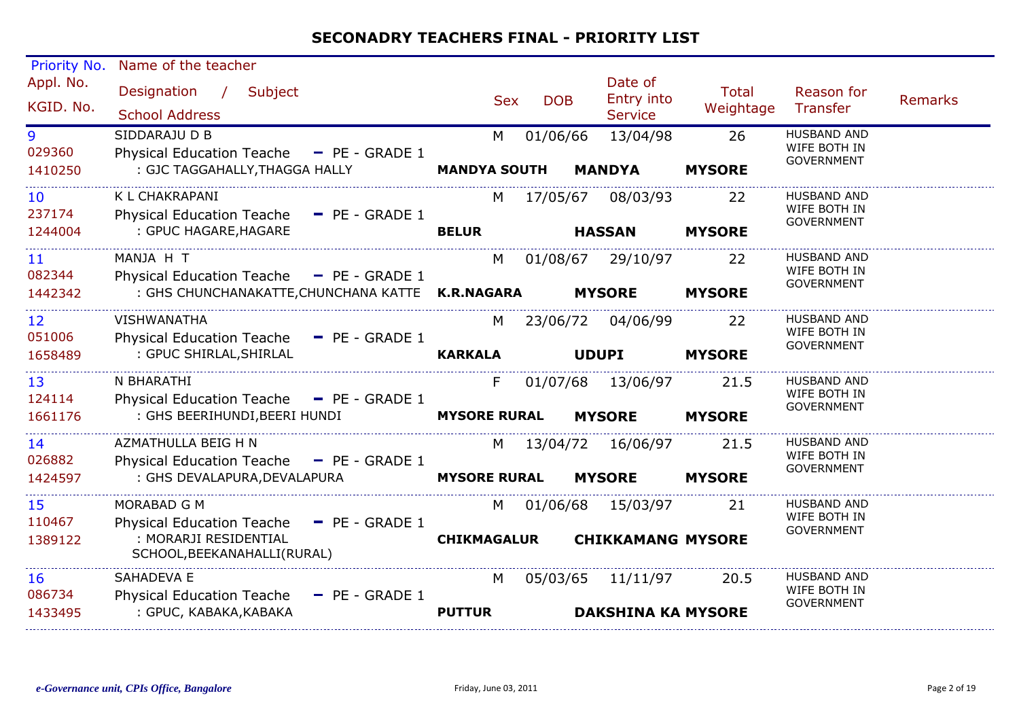| Priority No.            | Name of the teacher                                                                                                          |                           |                                                       |                           |                                                         |                |
|-------------------------|------------------------------------------------------------------------------------------------------------------------------|---------------------------|-------------------------------------------------------|---------------------------|---------------------------------------------------------|----------------|
| Appl. No.<br>KGID. No.  | Subject<br>Designation /<br><b>School Address</b>                                                                            | <b>Sex</b>                | Date of<br>Entry into<br><b>DOB</b><br><b>Service</b> | <b>Total</b><br>Weightage | Reason for<br>Transfer                                  | <b>Remarks</b> |
| 9<br>029360<br>1410250  | SIDDARAJU D B<br>Physical Education Teache - PE - GRADE 1<br>: GJC TAGGAHALLY, THAGGA HALLY                                  | M<br><b>MANDYA SOUTH</b>  | 01/06/66<br>13/04/98<br><b>MANDYA</b>                 | 26<br><b>MYSORE</b>       | <b>HUSBAND AND</b><br>WIFE BOTH IN<br><b>GOVERNMENT</b> |                |
| 10<br>237174<br>1244004 | K L CHAKRAPANI<br>Physical Education Teache - PE - GRADE 1<br>: GPUC HAGARE, HAGARE                                          | M<br><b>BELUR</b>         | 17/05/67<br>08/03/93<br><b>HASSAN</b>                 | 22<br><b>MYSORE</b>       | <b>HUSBAND AND</b><br>WIFE BOTH IN<br><b>GOVERNMENT</b> |                |
| 11<br>082344<br>1442342 | MANJA H T<br>Physical Education Teache - PE - GRADE 1<br>: GHS CHUNCHANAKATTE, CHUNCHANA KATTE K.R.NAGARA                    | M                         | 01/08/67 29/10/97<br><b>MYSORE</b>                    | 22<br><b>MYSORE</b>       | <b>HUSBAND AND</b><br>WIFE BOTH IN<br><b>GOVERNMENT</b> |                |
| 12<br>051006<br>1658489 | <b>VISHWANATHA</b><br>Physical Education Teache - PE - GRADE 1<br>: GPUC SHIRLAL, SHIRLAL                                    | M<br><b>KARKALA</b>       | 23/06/72 04/06/99<br><b>UDUPI</b>                     | 22<br><b>MYSORE</b>       | HUSBAND AND<br>WIFE BOTH IN<br><b>GOVERNMENT</b>        |                |
| 13<br>124114<br>1661176 | N BHARATHI<br>Physical Education Teache - PE - GRADE 1<br>: GHS BEERIHUNDI, BEERI HUNDI                                      | F.<br><b>MYSORE RURAL</b> | 01/07/68 13/06/97<br><b>MYSORE</b>                    | 21.5<br><b>MYSORE</b>     | <b>HUSBAND AND</b><br>WIFE BOTH IN<br><b>GOVERNMENT</b> |                |
| 14<br>026882<br>1424597 | AZMATHULLA BEIG H N<br>Physical Education Teache - PE - GRADE 1<br>: GHS DEVALAPURA, DEVALAPURA                              | M<br><b>MYSORE RURAL</b>  | 13/04/72 16/06/97<br><b>MYSORE</b>                    | 21.5<br><b>MYSORE</b>     | <b>HUSBAND AND</b><br>WIFE BOTH IN<br><b>GOVERNMENT</b> |                |
| 15<br>110467<br>1389122 | MORABAD G M<br>$-$ PE - GRADE 1<br><b>Physical Education Teache</b><br>: MORARJI RESIDENTIAL<br>SCHOOL, BEEKANAHALLI (RURAL) | M<br><b>CHIKMAGALUR</b>   | 01/06/68 15/03/97<br><b>CHIKKAMANG MYSORE</b>         | 21                        | <b>HUSBAND AND</b><br>WIFE BOTH IN<br><b>GOVERNMENT</b> |                |
| 16<br>086734<br>1433495 | SAHADEVA E<br><b>Physical Education Teache</b><br>$-$ PE - GRADE 1<br>: GPUC, KABAKA, KABAKA                                 | M<br><b>PUTTUR</b>        | 05/03/65 11/11/97<br><b>DAKSHINA KA MYSORE</b>        | 20.5                      | <b>HUSBAND AND</b><br>WIFE BOTH IN<br><b>GOVERNMENT</b> |                |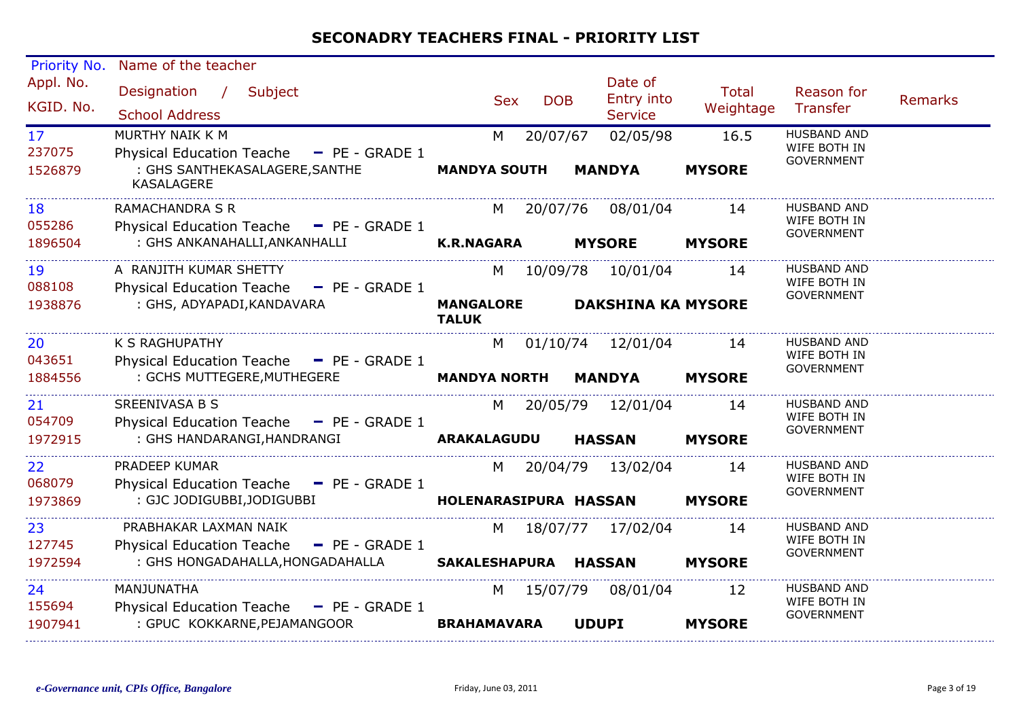| Priority No.                         | Name of the teacher                                                                                                |                                        |                                                  |                           |                                                         |  |
|--------------------------------------|--------------------------------------------------------------------------------------------------------------------|----------------------------------------|--------------------------------------------------|---------------------------|---------------------------------------------------------|--|
| Appl. No.<br>KGID. No.               | Designation /<br>Subject<br><b>School Address</b>                                                                  | <b>DOB</b><br><b>Sex</b>               | Date of<br>Entry into<br>Service                 | <b>Total</b><br>Weightage | Reason for<br><b>Remarks</b><br>Transfer                |  |
| 17 <sup>2</sup><br>237075<br>1526879 | MURTHY NAIK K M<br>Physical Education Teache - PE - GRADE 1<br>: GHS SANTHEKASALAGERE, SANTHE<br><b>KASALAGERE</b> | 20/07/67<br>M<br><b>MANDYA SOUTH</b>   | 02/05/98<br><b>MANDYA</b>                        | 16.5<br><b>MYSORE</b>     | <b>HUSBAND AND</b><br>WIFE BOTH IN<br><b>GOVERNMENT</b> |  |
| 18<br>055286<br>1896504              | <b>RAMACHANDRA S R</b><br>Physical Education Teache - PE - GRADE 1<br>: GHS ANKANAHALLI, ANKANHALLI                | 20/07/76<br><b>K.R.NAGARA</b>          | 08/01/04<br><b>MYSORE</b>                        | 14<br><b>MYSORE</b>       | <b>HUSBAND AND</b><br>WIFE BOTH IN<br><b>GOVERNMENT</b> |  |
| 19<br>088108<br>1938876              | A RANJITH KUMAR SHETTY<br>Physical Education Teache - PE - GRADE 1<br>: GHS, ADYAPADI, KANDAVARA                   | <b>MANGALORE</b><br><b>TALUK</b>       | M 10/09/78 10/01/04<br><b>DAKSHINA KA MYSORE</b> | 14                        | <b>HUSBAND AND</b><br>WIFE BOTH IN<br><b>GOVERNMENT</b> |  |
| 20<br>043651<br>1884556              | K S RAGHUPATHY<br>Physical Education Teache - PE - GRADE 1<br>: GCHS MUTTEGERE, MUTHEGERE                          | M<br><b>MANDYA NORTH</b>               | 01/10/74 12/01/04<br><b>MANDYA</b>               | 14<br><b>MYSORE</b>       | <b>HUSBAND AND</b><br>WIFE BOTH IN<br><b>GOVERNMENT</b> |  |
| 21<br>054709<br>1972915              | SREENIVASA B S<br>Physical Education Teache - PE - GRADE 1<br>: GHS HANDARANGI, HANDRANGI                          | <b>ARAKALAGUDU</b>                     | M 20/05/79 12/01/04<br><b>HASSAN</b>             | 14<br><b>MYSORE</b>       | <b>HUSBAND AND</b><br>WIFE BOTH IN<br><b>GOVERNMENT</b> |  |
| 22<br>068079<br>1973869              | PRADEEP KUMAR<br>Physical Education Teache - PE - GRADE 1<br>: GJC JODIGUBBI, JODIGUBBI                            | 20/04/79<br>M<br>HOLENARASIPURA HASSAN | 13/02/04                                         | 14<br><b>MYSORE</b>       | <b>HUSBAND AND</b><br>WIFE BOTH IN<br><b>GOVERNMENT</b> |  |
| 23<br>127745<br>1972594              | PRABHAKAR LAXMAN NAIK<br>Physical Education Teache - PE - GRADE 1<br>: GHS HONGADAHALLA, HONGADAHALLA              | M<br>SAKALESHAPURA HASSAN              | 18/07/77 17/02/04                                | 14<br><b>MYSORE</b>       | <b>HUSBAND AND</b><br>WIFE BOTH IN<br><b>GOVERNMENT</b> |  |
| 24<br>155694<br>1907941              | MANJUNATHA<br>Physical Education Teache $-$ PE - GRADE 1<br>: GPUC KOKKARNE, PEJAMANGOOR                           | 15/07/79<br>M<br><b>BRAHAMAVARA</b>    | 08/01/04<br><b>UDUPI</b>                         | 12<br><b>MYSORE</b>       | <b>HUSBAND AND</b><br>WIFE BOTH IN<br><b>GOVERNMENT</b> |  |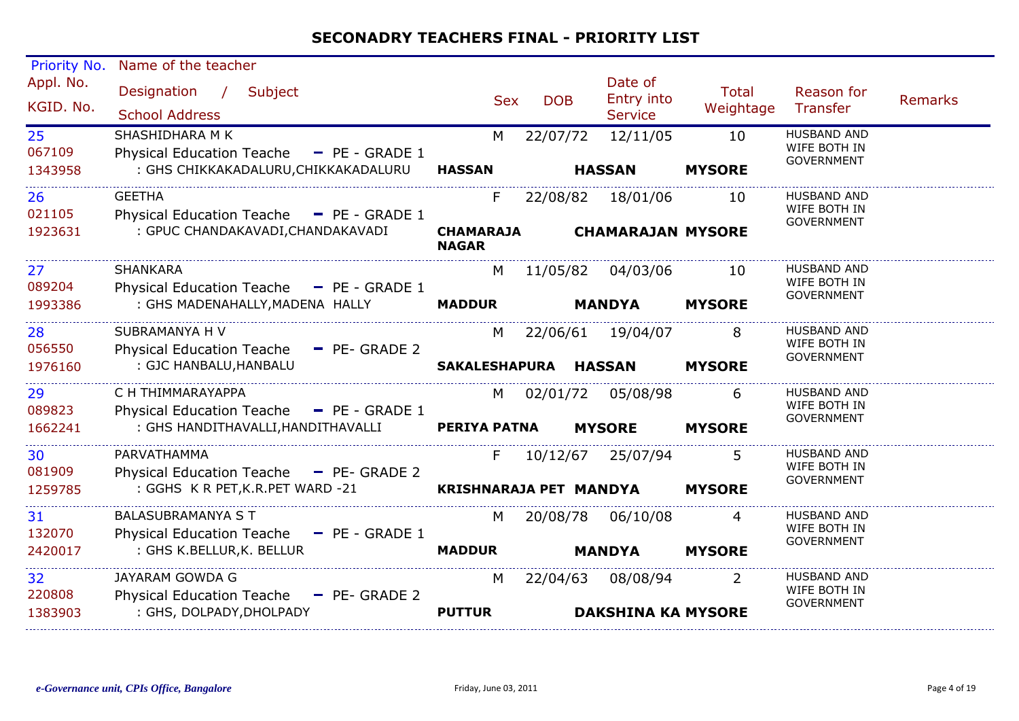| Priority No.                         | Name of the teacher                                                                                 |                                        |            |                                                |                     |                                                         |                |
|--------------------------------------|-----------------------------------------------------------------------------------------------------|----------------------------------------|------------|------------------------------------------------|---------------------|---------------------------------------------------------|----------------|
| Appl. No.<br>KGID. No.               | Designation / Subject<br><b>School Address</b>                                                      | <b>Sex</b>                             | <b>DOB</b> | Date of<br>Entry into<br><b>Service</b>        | Total<br>Weightage  | Reason for<br>Transfer                                  | <b>Remarks</b> |
| 25 <sub>2</sub><br>067109<br>1343958 | SHASHIDHARA M K<br>Physical Education Teache - PE - GRADE 1<br>: GHS CHIKKAKADALURU, CHIKKAKADALURU | M<br><b>HASSAN</b>                     | 22/07/72   | 12/11/05<br><b>HASSAN</b>                      | 10<br><b>MYSORE</b> | <b>HUSBAND AND</b><br>WIFE BOTH IN<br><b>GOVERNMENT</b> |                |
| 26<br>021105<br>1923631              | <b>GEETHA</b><br>Physical Education Teache - PE - GRADE 1<br>: GPUC CHANDAKAVADI, CHANDAKAVADI      | F.<br><b>CHAMARAJA</b><br><b>NAGAR</b> |            | 22/08/82 18/01/06<br><b>CHAMARAJAN MYSORE</b>  | 10                  | <b>HUSBAND AND</b><br>WIFE BOTH IN<br><b>GOVERNMENT</b> |                |
| 27 <sub>2</sub><br>089204<br>1993386 | SHANKARA<br>Physical Education Teache - PE - GRADE 1<br>: GHS MADENAHALLY, MADENA HALLY             | M<br><b>MADDUR</b>                     |            | 11/05/82  04/03/06<br><b>MANDYA</b>            | 10<br><b>MYSORE</b> | <b>HUSBAND AND</b><br>WIFE BOTH IN<br><b>GOVERNMENT</b> |                |
| 28<br>056550<br>1976160              | SUBRAMANYA H V<br>Physical Education Teache - PE- GRADE 2<br>: GJC HANBALU, HANBALU                 | M<br>SAKALESHAPURA HASSAN              |            | 22/06/61 19/04/07                              | 8<br><b>MYSORE</b>  | HUSBAND AND<br>WIFE BOTH IN<br><b>GOVERNMENT</b>        |                |
| 29<br>089823<br>1662241              | C H THIMMARAYAPPA<br>Physical Education Teache - PE - GRADE 1<br>: GHS HANDITHAVALLI,HANDITHAVALLI  | M<br><b>PERIYA PATNA</b>               |            | 02/01/72 05/08/98<br><b>MYSORE</b>             | 6<br><b>MYSORE</b>  | <b>HUSBAND AND</b><br>WIFE BOTH IN<br>GOVERNMENT        |                |
| 30<br>081909<br>1259785              | PARVATHAMMA<br>Physical Education Teache - PE- GRADE 2<br>: GGHS K R PET, K.R. PET WARD -21         | F.<br>KRISHNARAJA PET MANDYA           |            | 10/12/67 25/07/94                              | <b>MYSORE</b>       | <b>HUSBAND AND</b><br>WIFE BOTH IN<br><b>GOVERNMENT</b> |                |
| 31<br>132070<br>2420017              | <b>BALASUBRAMANYA S T</b><br>Physical Education Teache - PE - GRADE 1<br>: GHS K.BELLUR, K. BELLUR  | M<br><b>MADDUR</b>                     |            | 20/08/78 06/10/08<br><b>MANDYA</b>             | 4<br><b>MYSORE</b>  | HUSBAND AND<br>WIFE BOTH IN<br><b>GOVERNMENT</b>        |                |
| 32<br>220808<br>1383903              | JAYARAM GOWDA G<br>Physical Education Teache - PE- GRADE 2<br>: GHS, DOLPADY, DHOLPADY              | M<br><b>PUTTUR</b>                     |            | 22/04/63 08/08/94<br><b>DAKSHINA KA MYSORE</b> | 2                   | HUSBAND AND<br>WIFE BOTH IN<br><b>GOVERNMENT</b>        |                |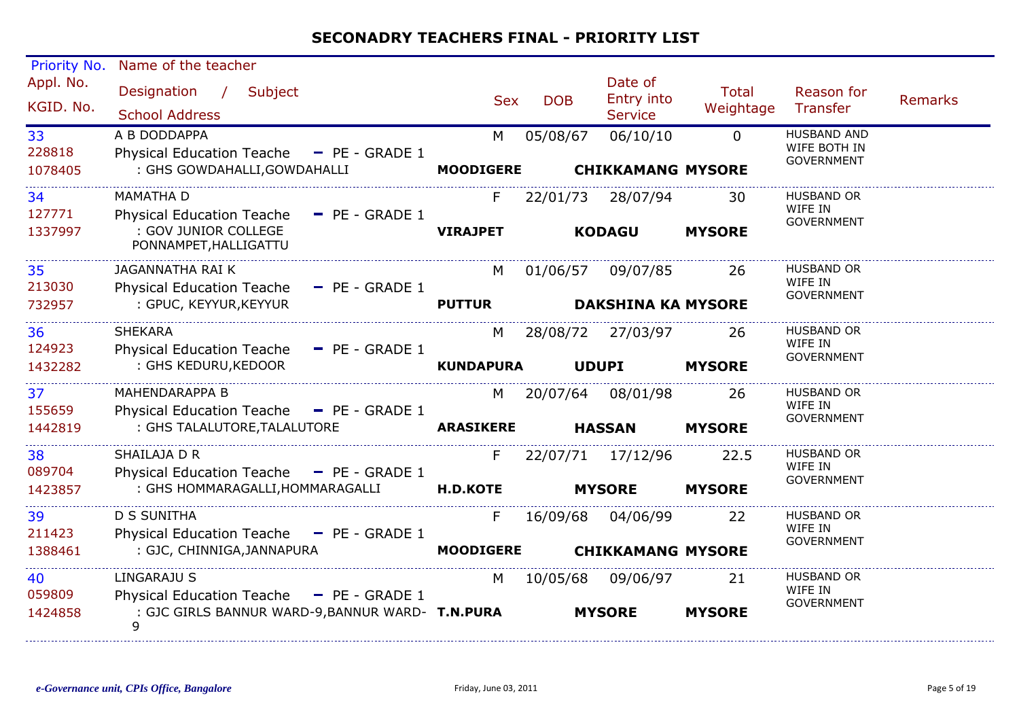| Priority No.           | Name of the teacher                                                      |                  |            |                                         |                           |                                                         |                |
|------------------------|--------------------------------------------------------------------------|------------------|------------|-----------------------------------------|---------------------------|---------------------------------------------------------|----------------|
| Appl. No.<br>KGID. No. | Designation /<br>Subject<br><b>School Address</b>                        | <b>Sex</b>       | <b>DOB</b> | Date of<br>Entry into<br><b>Service</b> | <b>Total</b><br>Weightage | Reason for<br>Transfer                                  | <b>Remarks</b> |
| 33<br>228818           | A B DODDAPPA<br>Physical Education Teache - PE - GRADE 1                 | M                | 05/08/67   | 06/10/10                                | $\Omega$                  | <b>HUSBAND AND</b><br>WIFE BOTH IN<br><b>GOVERNMENT</b> |                |
| 1078405                | : GHS GOWDAHALLI, GOWDAHALLI                                             | <b>MOODIGERE</b> |            | <b>CHIKKAMANG MYSORE</b>                |                           |                                                         |                |
| 34<br>127771           | <b>MAMATHA D</b><br><b>Physical Education Teache</b><br>$-$ PE - GRADE 1 | F                | 22/01/73   | 28/07/94                                | 30                        | <b>HUSBAND OR</b><br>WIFE IN                            |                |
| 1337997                | : GOV JUNIOR COLLEGE<br>PONNAMPET, HALLIGATTU                            | <b>VIRAJPET</b>  |            | <b>KODAGU</b>                           | <b>MYSORE</b>             | <b>GOVERNMENT</b>                                       |                |
| 35<br>213030           | JAGANNATHA RAI K<br><b>Physical Education Teache</b><br>$-$ PE - GRADE 1 | M                |            | 01/06/57 09/07/85                       | 26                        | <b>HUSBAND OR</b><br>WIFE IN                            |                |
| 732957                 | : GPUC, KEYYUR, KEYYUR                                                   | <b>PUTTUR</b>    |            | <b>DAKSHINA KA MYSORE</b>               |                           | <b>GOVERNMENT</b>                                       |                |
| 36<br>124923           | <b>SHEKARA</b><br><b>Physical Education Teache</b><br>$-$ PE - GRADE 1   | M                |            | 28/08/72 27/03/97                       | 26                        | <b>HUSBAND OR</b><br>WIFE IN                            |                |
| 1432282                | : GHS KEDURU, KEDOOR                                                     | <b>KUNDAPURA</b> |            | <b>UDUPI</b>                            | <b>MYSORE</b>             | <b>GOVERNMENT</b>                                       |                |
| 37<br>155659           | <b>MAHENDARAPPA B</b><br>Physical Education Teache - PE - GRADE 1        | M                |            | 20/07/64 08/01/98                       | 26                        | <b>HUSBAND OR</b><br>WIFE IN                            |                |
| 1442819                | : GHS TALALUTORE, TALALUTORE                                             | <b>ARASIKERE</b> |            | <b>HASSAN</b>                           | <b>MYSORE</b>             | <b>GOVERNMENT</b>                                       |                |
| 38<br>089704           | SHAILAJA D R<br>Physical Education Teache - PE - GRADE 1                 | F.               |            | 22/07/71 17/12/96                       | 22.5                      | <b>HUSBAND OR</b><br>WIFE IN                            |                |
| 1423857                | : GHS HOMMARAGALLI, HOMMARAGALLI                                         | <b>H.D.KOTE</b>  |            | <b>MYSORE</b>                           | <b>MYSORE</b>             | <b>GOVERNMENT</b>                                       |                |
| 39<br>211423           | <b>D S SUNITHA</b><br>Physical Education Teache - PE - GRADE 1           | F.               | 16/09/68   | 04/06/99                                | 22                        | <b>HUSBAND OR</b><br>WIFE IN                            |                |
| 1388461                | : GJC, CHINNIGA, JANNAPURA                                               | <b>MOODIGERE</b> |            | <b>CHIKKAMANG MYSORE</b>                |                           | <b>GOVERNMENT</b>                                       |                |
| 40<br>059809           | <b>LINGARAJU S</b><br>Physical Education Teache - PE - GRADE 1           | M                | 10/05/68   | 09/06/97                                | 21                        | <b>HUSBAND OR</b><br>WIFE IN                            |                |
| 1424858                | : GJC GIRLS BANNUR WARD-9, BANNUR WARD- T.N.PURA<br>9                    |                  |            | <b>MYSORE</b>                           | <b>MYSORE</b>             | <b>GOVERNMENT</b>                                       |                |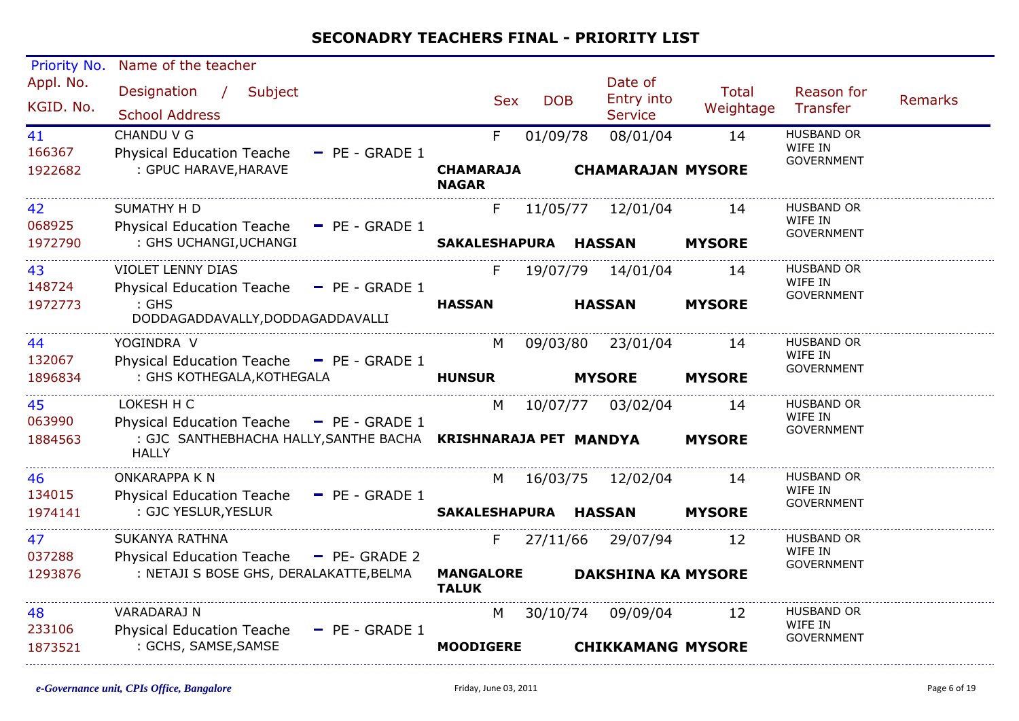| <b>Priority No.</b>     | Name of the teacher                                                                                                        |                                  |            |                                         |                    |                                                   |                |
|-------------------------|----------------------------------------------------------------------------------------------------------------------------|----------------------------------|------------|-----------------------------------------|--------------------|---------------------------------------------------|----------------|
| Appl. No.<br>KGID. No.  | Designation /<br>Subject<br><b>School Address</b>                                                                          | <b>Sex</b>                       | <b>DOB</b> | Date of<br>Entry into<br><b>Service</b> | Total<br>Weightage | Reason for<br>Transfer                            | <b>Remarks</b> |
| 41<br>166367<br>1922682 | CHANDU V G<br><b>Physical Education Teache</b><br>$-$ PE - GRADE 1<br>: GPUC HARAVE, HARAVE                                | F.<br><b>CHAMARAJA</b>           | 01/09/78   | 08/01/04<br><b>CHAMARAJAN MYSORE</b>    | 14                 | <b>HUSBAND OR</b><br>WIFE IN<br><b>GOVERNMENT</b> |                |
|                         |                                                                                                                            | <b>NAGAR</b>                     |            |                                         |                    |                                                   |                |
| 42<br>068925            | <b>SUMATHY H D</b><br>Physical Education Teache - PE - GRADE 1                                                             | F.                               |            | 11/05/77 12/01/04                       | 14                 | <b>HUSBAND OR</b><br>WIFE IN<br><b>GOVERNMENT</b> |                |
| 1972790                 | : GHS UCHANGI, UCHANGI                                                                                                     | SAKALESHAPURA HASSAN             |            |                                         | <b>MYSORE</b>      |                                                   |                |
| 43<br>148724            | <b>VIOLET LENNY DIAS</b><br>Physical Education Teache - PE - GRADE 1                                                       | F.                               |            | 19/07/79 14/01/04                       | 14                 | HUSBAND OR<br>WIFE IN<br><b>GOVERNMENT</b>        |                |
| 1972773                 | $:$ GHS<br>DODDAGADDAVALLY, DODDAGADDAVALLI                                                                                | <b>HASSAN</b>                    |            | <b>HASSAN</b>                           | <b>MYSORE</b>      |                                                   |                |
| 44<br>132067            | YOGINDRA V<br>Physical Education Teache - PE - GRADE 1                                                                     | M                                |            | 09/03/80 23/01/04                       | 14                 | <b>HUSBAND OR</b><br>WIFE IN                      |                |
| 1896834                 | : GHS KOTHEGALA, KOTHEGALA                                                                                                 | <b>HUNSUR</b>                    |            | <b>MYSORE</b>                           | <b>MYSORE</b>      | <b>GOVERNMENT</b>                                 |                |
| 45<br>063990            | LOKESH H C                                                                                                                 | M                                |            | 10/07/77 03/02/04                       | 14                 | HUSBAND OR<br>WIFE IN                             |                |
| 1884563                 | Physical Education Teache - PE - GRADE 1<br>: GJC SANTHEBHACHA HALLY, SANTHE BACHA  KRISHNARAJA PET MANDYA<br><b>HALLY</b> |                                  |            |                                         | <b>MYSORE</b>      | <b>GOVERNMENT</b>                                 |                |
| 46<br>134015            | <b>ONKARAPPA K N</b>                                                                                                       | M                                |            | 16/03/75 12/02/04                       | 14                 | <b>HUSBAND OR</b><br>WIFE IN                      |                |
| 1974141                 | Physical Education Teache - PE - GRADE 1<br>: GJC YESLUR, YESLUR                                                           | SAKALESHAPURA HASSAN             |            |                                         | <b>MYSORE</b>      | <b>GOVERNMENT</b>                                 |                |
| 47<br>037288            | <b>SUKANYA RATHNA</b>                                                                                                      | F.                               |            | 27/11/66 29/07/94                       | 12                 | <b>HUSBAND OR</b><br>WIFE IN                      |                |
| 1293876                 | Physical Education Teache - PE- GRADE 2<br>: NETAJI S BOSE GHS, DERALAKATTE, BELMA                                         | <b>MANGALORE</b><br><b>TALUK</b> |            | <b>DAKSHINA KA MYSORE</b>               |                    | <b>GOVERNMENT</b>                                 |                |
| 48<br>233106            | VARADARAJ N                                                                                                                | M                                |            | 30/10/74 09/09/04                       | 12                 | HUSBAND OR<br>WIFE IN                             |                |
| 1873521                 | Physical Education Teache - PE - GRADE 1<br>: GCHS, SAMSE, SAMSE                                                           | <b>MOODIGERE</b>                 |            | <b>CHIKKAMANG MYSORE</b>                |                    | <b>GOVERNMENT</b>                                 |                |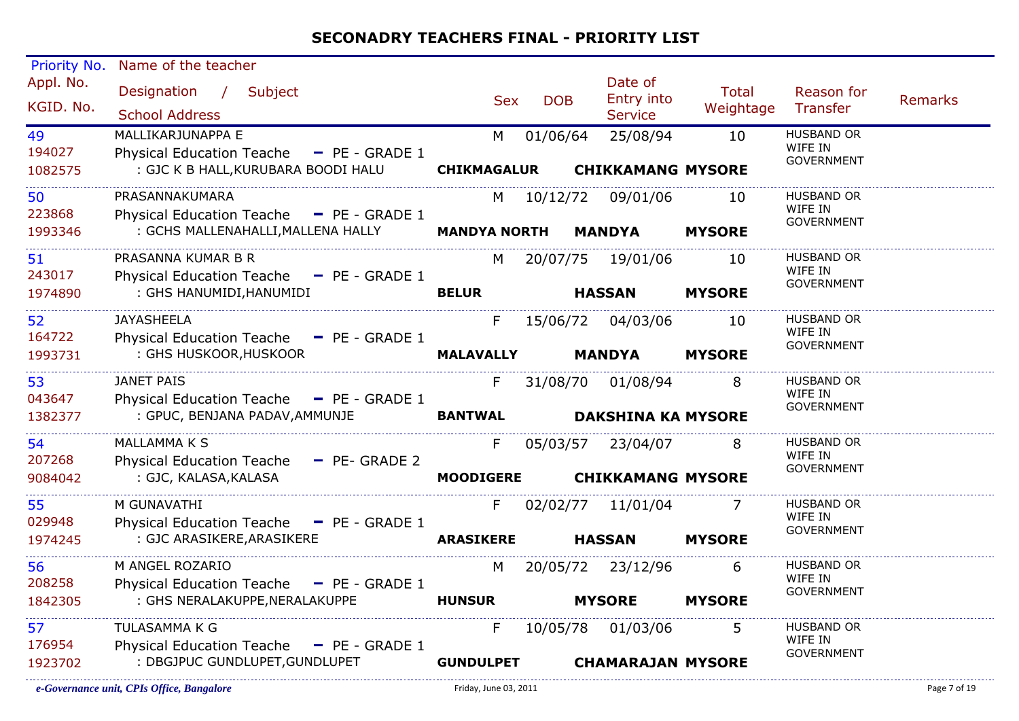| Priority No. | Name of the teacher                      |                     |            |                           |               |                              |                |
|--------------|------------------------------------------|---------------------|------------|---------------------------|---------------|------------------------------|----------------|
| Appl. No.    | Designation / Subject                    |                     |            | Date of                   | <b>Total</b>  | Reason for                   |                |
| KGID. No.    |                                          | <b>Sex</b>          | <b>DOB</b> | Entry into                | Weightage     | Transfer                     | <b>Remarks</b> |
|              | <b>School Address</b>                    |                     |            | <b>Service</b>            |               |                              |                |
| 49           | MALLIKARJUNAPPA E                        | M                   | 01/06/64   | 25/08/94                  | 10            | <b>HUSBAND OR</b><br>WIFE IN |                |
| 194027       | Physical Education Teache - PE - GRADE 1 |                     |            |                           |               | <b>GOVERNMENT</b>            |                |
| 1082575      | : GJC K B HALL, KURUBARA BOODI HALU      | <b>CHIKMAGALUR</b>  |            | <b>CHIKKAMANG MYSORE</b>  |               |                              |                |
| 50           | PRASANNAKUMARA                           | M                   |            | 10/12/72 09/01/06         | 10            | <b>HUSBAND OR</b>            |                |
| 223868       | Physical Education Teache - PE - GRADE 1 |                     |            |                           |               | WIFE IN<br>GOVERNMENT        |                |
| 1993346      | : GCHS MALLENAHALLI, MALLENA HALLY       | <b>MANDYA NORTH</b> |            | <b>MANDYA</b>             | <b>MYSORE</b> |                              |                |
| 51           | PRASANNA KUMAR B R                       | M                   |            | 20/07/75 19/01/06         | 10            | HUSBAND OR                   |                |
| 243017       | Physical Education Teache - PE - GRADE 1 |                     |            |                           |               | WIFE IN<br><b>GOVERNMENT</b> |                |
| 1974890      | : GHS HANUMIDI, HANUMIDI                 | <b>BELUR</b>        |            | <b>HASSAN</b>             | <b>MYSORE</b> |                              |                |
| 52           | JAYASHEELA                               | F.                  |            | 15/06/72 04/03/06         | 10            | HUSBAND OR                   |                |
| 164722       | Physical Education Teache - PE - GRADE 1 |                     |            |                           |               | WIFE IN                      |                |
| 1993731      | : GHS HUSKOOR, HUSKOOR                   | <b>MALAVALLY</b>    |            | <b>MANDYA</b>             | <b>MYSORE</b> | <b>GOVERNMENT</b>            |                |
| 53           | <b>JANET PAIS</b>                        | F.                  | 31/08/70   | 01/08/94                  |               | <b>HUSBAND OR</b>            |                |
| 043647       | Physical Education Teache - PE - GRADE 1 |                     |            |                           |               | WIFE IN                      |                |
| 1382377      | : GPUC, BENJANA PADAV, AMMUNJE           | <b>BANTWAL</b>      |            | <b>DAKSHINA KA MYSORE</b> |               | <b>GOVERNMENT</b>            |                |
|              |                                          |                     |            |                           |               |                              |                |
| 54           | <b>MALLAMMAKS</b>                        | F.                  |            | 05/03/57 23/04/07         | 8             | HUSBAND OR<br>WIFE IN        |                |
| 207268       | Physical Education Teache - PE- GRADE 2  |                     |            |                           |               | <b>GOVERNMENT</b>            |                |
| 9084042      | : GJC, KALASA, KALASA                    | <b>MOODIGERE</b>    |            | <b>CHIKKAMANG MYSORE</b>  |               |                              |                |
| 55           | M GUNAVATHI                              | F.                  |            | 02/02/77 11/01/04         | 7             | <b>HUSBAND OR</b>            |                |
| 029948       | Physical Education Teache - PE - GRADE 1 |                     |            |                           |               | WIFE IN<br><b>GOVERNMENT</b> |                |
| 1974245      | : GJC ARASIKERE, ARASIKERE               | <b>ARASIKERE</b>    |            | <b>HASSAN</b>             | <b>MYSORE</b> |                              |                |
| 56           | M ANGEL ROZARIO                          | M                   |            | 20/05/72 23/12/96         | 6             | <b>HUSBAND OR</b>            |                |
| 208258       | Physical Education Teache - PE - GRADE 1 |                     |            |                           |               | WIFE IN<br><b>GOVERNMENT</b> |                |
| 1842305      | : GHS NERALAKUPPE, NERALAKUPPE           | <b>HUNSUR</b>       |            | <b>MYSORE</b>             | <b>MYSORE</b> |                              |                |
| 57           | <b>TULASAMMA K G</b>                     | F.                  |            | 10/05/78 01/03/06         | 5             | HUSBAND OR                   |                |
| 176954       | Physical Education Teache - PE - GRADE 1 |                     |            |                           |               | WIFE IN<br>GOVERNMENT        |                |
| 1923702      | : DBGJPUC GUNDLUPET, GUNDLUPET           | <b>GUNDULPET</b>    |            | <b>CHAMARAJAN MYSORE</b>  |               |                              |                |
|              |                                          |                     |            |                           |               |                              |                |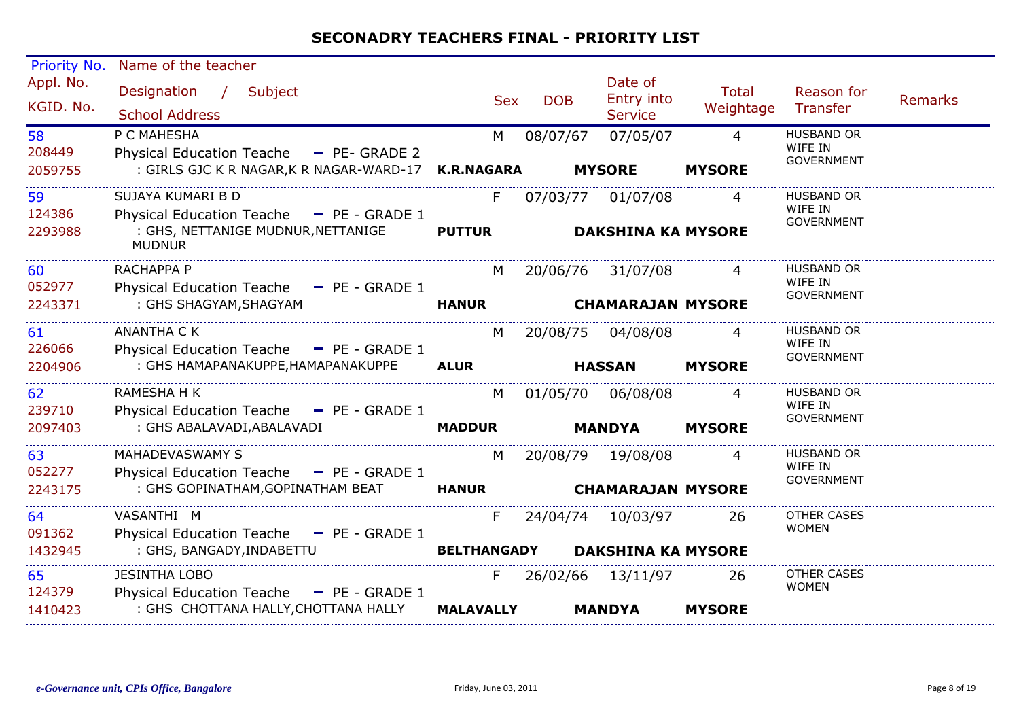| Priority No.            | Name of the teacher                                                                                                  |                     |            |                                               |                                 |                                                   |         |
|-------------------------|----------------------------------------------------------------------------------------------------------------------|---------------------|------------|-----------------------------------------------|---------------------------------|---------------------------------------------------|---------|
| Appl. No.<br>KGID. No.  | Designation / Subject<br><b>School Address</b>                                                                       | <b>Sex</b>          | <b>DOB</b> | Date of<br>Entry into<br><b>Service</b>       | <b>Total</b><br>Weightage       | Reason for<br>Transfer                            | Remarks |
| 58<br>208449<br>2059755 | P C MAHESHA<br>Physical Education Teache - PE- GRADE 2<br>: GIRLS GJC K R NAGAR, K R NAGAR-WARD-17 K.R.NAGARA        | M                   | 08/07/67   | 07/05/07<br><b>MYSORE</b>                     | $\overline{4}$<br><b>MYSORE</b> | <b>HUSBAND OR</b><br>WIFE IN<br><b>GOVERNMENT</b> |         |
|                         |                                                                                                                      |                     |            |                                               |                                 |                                                   |         |
| 59<br>124386<br>2293988 | SUJAYA KUMARI B D<br>Physical Education Teache - PE - GRADE 1<br>: GHS, NETTANIGE MUDNUR, NETTANIGE<br><b>MUDNUR</b> | F.<br><b>PUTTUR</b> | 07/03/77   | 01/07/08<br><b>DAKSHINA KA MYSORE</b>         | 4                               | <b>HUSBAND OR</b><br>WIFE IN<br><b>GOVERNMENT</b> |         |
| 60<br>052977            | RACHAPPA P<br>Physical Education Teache - PE - GRADE 1                                                               | M                   |            | 20/06/76 31/07/08                             | 4                               | <b>HUSBAND OR</b><br>WIFE IN                      |         |
| 2243371                 | : GHS SHAGYAM, SHAGYAM                                                                                               | <b>HANUR</b>        |            | <b>CHAMARAJAN MYSORE</b>                      |                                 | <b>GOVERNMENT</b>                                 |         |
| 61<br>226066            | <b>ANANTHA C K</b><br>Physical Education Teache - PE - GRADE 1                                                       | M                   | 20/08/75   | 04/08/08                                      | 4                               | <b>HUSBAND OR</b><br>WIFE IN<br><b>GOVERNMENT</b> |         |
| 2204906                 | : GHS HAMAPANAKUPPE, HAMAPANAKUPPE                                                                                   | <b>ALUR</b>         |            | <b>HASSAN</b>                                 | <b>MYSORE</b>                   |                                                   |         |
| 62<br>239710            | RAMESHA H K<br>Physical Education Teache - PE - GRADE 1                                                              | M                   |            | 01/05/70 06/08/08                             | 4                               | HUSBAND OR<br>WIFE IN<br><b>GOVERNMENT</b>        |         |
| 2097403                 | : GHS ABALAVADI, ABALAVADI                                                                                           | <b>MADDUR</b>       |            | <b>MANDYA</b>                                 | <b>MYSORE</b>                   |                                                   |         |
| 63<br>052277<br>2243175 | MAHADEVASWAMY S<br>Physical Education Teache - PE - GRADE 1<br>: GHS GOPINATHAM, GOPINATHAM BEAT                     | M<br><b>HANUR</b>   |            | 20/08/79 19/08/08<br><b>CHAMARAJAN MYSORE</b> | 4                               | <b>HUSBAND OR</b><br>WIFE IN<br><b>GOVERNMENT</b> |         |
| 64                      | VASANTHI M                                                                                                           | F.                  |            | 24/04/74 10/03/97                             | -26                             | OTHER CASES                                       |         |
| 091362<br>1432945       | Physical Education Teache - PE - GRADE 1<br>: GHS, BANGADY, INDABETTU                                                | <b>BELTHANGADY</b>  |            | <b>DAKSHINA KA MYSORE</b>                     |                                 | <b>WOMEN</b>                                      |         |
| 65<br>124379            | <b>JESINTHA LOBO</b><br>Physical Education Teache - PE - GRADE 1                                                     | F.                  |            | 26/02/66 13/11/97                             | 26                              | <b>OTHER CASES</b><br><b>WOMEN</b>                |         |
| 1410423                 | : GHS CHOTTANA HALLY, CHOTTANA HALLY                                                                                 | <b>MALAVALLY</b>    |            | <b>MANDYA</b>                                 | <b>MYSORE</b>                   |                                                   |         |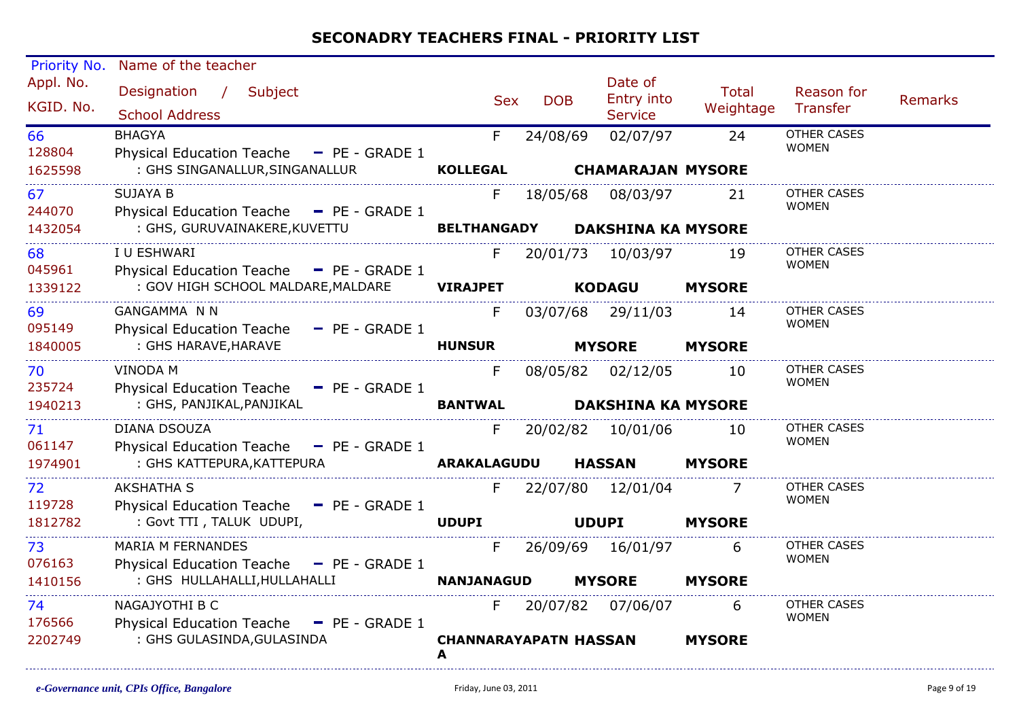| Priority No.           | Name of the teacher                                                    |                                   |            |                                         |                           |                                    |                |
|------------------------|------------------------------------------------------------------------|-----------------------------------|------------|-----------------------------------------|---------------------------|------------------------------------|----------------|
| Appl. No.<br>KGID. No. | Designation /<br>Subject<br><b>School Address</b>                      | <b>Sex</b>                        | <b>DOB</b> | Date of<br>Entry into<br><b>Service</b> | <b>Total</b><br>Weightage | Reason for<br>Transfer             | <b>Remarks</b> |
| 66<br>128804           | <b>BHAGYA</b><br>Physical Education Teache - PE - GRADE 1              | F.                                | 24/08/69   | 02/07/97                                | 24                        | <b>OTHER CASES</b><br><b>WOMEN</b> |                |
| 1625598                | : GHS SINGANALLUR, SINGANALLUR                                         | <b>KOLLEGAL</b>                   |            | <b>CHAMARAJAN MYSORE</b>                |                           |                                    |                |
| 67<br>244070           | <b>SUJAYA B</b><br>Physical Education Teache - PE - GRADE 1            | F.                                | 18/05/68   | 08/03/97                                | 21                        | OTHER CASES<br><b>WOMEN</b>        |                |
| 1432054                | : GHS, GURUVAINAKERE, KUVETTU                                          | <b>BELTHANGADY</b>                |            | <b>DAKSHINA KA MYSORE</b>               |                           |                                    |                |
| 68<br>045961           | I U ESHWARI<br>Physical Education Teache - PE - GRADE 1                | F.                                |            | 20/01/73 10/03/97                       | 19                        | <b>OTHER CASES</b><br><b>WOMEN</b> |                |
| 1339122                | : GOV HIGH SCHOOL MALDARE, MALDARE                                     | <b>VIRAJPET</b>                   |            | <b>KODAGU</b>                           | <b>MYSORE</b>             |                                    |                |
| 69<br>095149           | <b>GANGAMMA N N</b><br>Physical Education Teache - PE - GRADE 1        | F                                 |            | 03/07/68 29/11/03                       | 14                        | <b>OTHER CASES</b><br><b>WOMEN</b> |                |
| 1840005                | : GHS HARAVE, HARAVE                                                   | <b>HUNSUR</b>                     |            | <b>MYSORE</b>                           | <b>MYSORE</b>             |                                    |                |
| 70<br>235724           | <b>VINODA M</b><br>Physical Education Teache - PE - GRADE 1            | F                                 |            | 08/05/82 02/12/05                       | 10                        | <b>OTHER CASES</b><br><b>WOMEN</b> |                |
| 1940213                | : GHS, PANJIKAL, PANJIKAL                                              | <b>BANTWAL</b>                    |            | <b>DAKSHINA KA MYSORE</b>               |                           |                                    |                |
| 71<br>061147           | DIANA DSOUZA<br>Physical Education Teache - PE - GRADE 1               | F.                                |            | 20/02/82 10/01/06                       | 10                        | <b>OTHER CASES</b><br><b>WOMEN</b> |                |
| 1974901                | : GHS KATTEPURA, KATTEPURA                                             | ARAKALAGUDU                       |            | <b>HASSAN</b>                           | <b>MYSORE</b>             |                                    |                |
| 72<br>119728           | <b>AKSHATHA S</b><br>Physical Education Teache - PE - GRADE 1          | F                                 |            | 22/07/80 12/01/04                       |                           | <b>OTHER CASES</b><br><b>WOMEN</b> |                |
| 1812782                | : Govt TTI, TALUK UDUPI,                                               | <b>UDUPI</b>                      |            | <b>UDUPI</b>                            | <b>MYSORE</b>             |                                    |                |
| 73<br>076163           | <b>MARIA M FERNANDES</b><br>Physical Education Teache - PE - GRADE 1   | F                                 |            | 26/09/69 16/01/97                       | 6                         | <b>OTHER CASES</b><br><b>WOMEN</b> |                |
| 1410156                | : GHS HULLAHALLI, HULLAHALLI                                           | <b>NANJANAGUD</b>                 |            | <b>MYSORE</b>                           | <b>MYSORE</b>             |                                    |                |
| 74<br>176566           | NAGAJYOTHI B C<br><b>Physical Education Teache</b><br>$-$ PE - GRADE 1 | F.                                |            | 20/07/82 07/06/07                       | 6                         | <b>OTHER CASES</b><br><b>WOMEN</b> |                |
| 2202749                | : GHS GULASINDA, GULASINDA                                             | <b>CHANNARAYAPATN HASSAN</b><br>A |            |                                         | <b>MYSORE</b>             |                                    |                |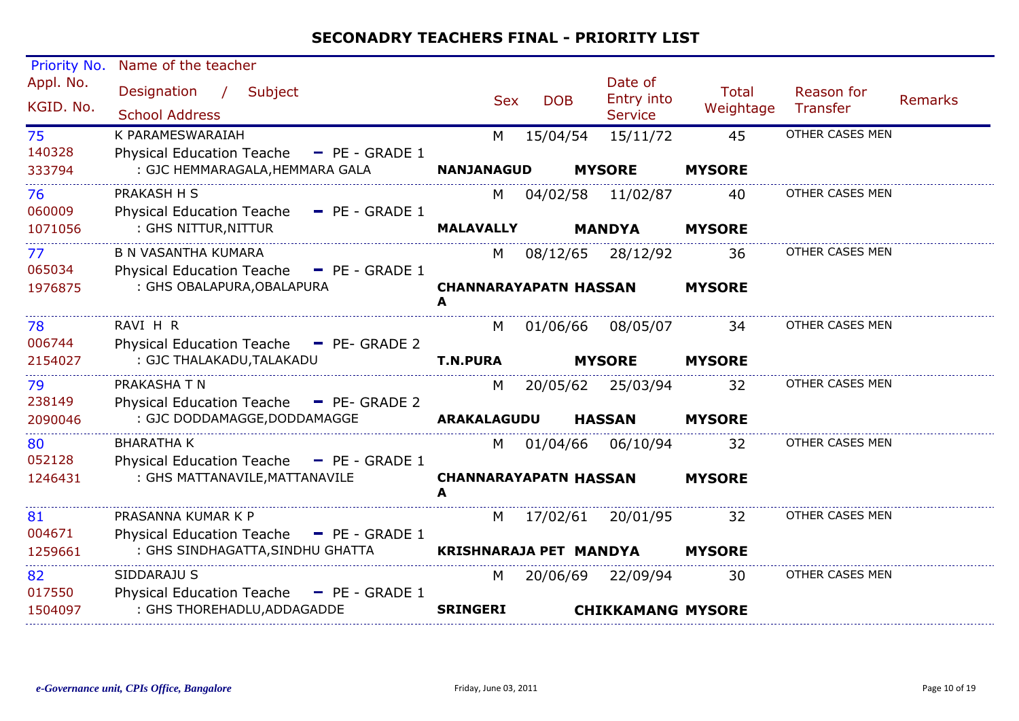| Priority No.           | Name of the teacher                                                                     |                               |            |                                         |                           |                               |                |
|------------------------|-----------------------------------------------------------------------------------------|-------------------------------|------------|-----------------------------------------|---------------------------|-------------------------------|----------------|
| Appl. No.<br>KGID. No. | Designation<br>$\frac{1}{2}$<br>Subject<br><b>School Address</b>                        | <b>Sex</b>                    | <b>DOB</b> | Date of<br>Entry into<br><b>Service</b> | <b>Total</b><br>Weightage | Reason for<br><b>Transfer</b> | <b>Remarks</b> |
| 75                     | K PARAMESWARAIAH                                                                        | M                             | 15/04/54   | 15/11/72                                | 45                        | OTHER CASES MEN               |                |
| 140328<br>333794       | <b>Physical Education Teache</b><br>$-$ PE - GRADE 1<br>: GJC HEMMARAGALA, HEMMARA GALA | <b>NANJANAGUD</b>             |            | <b>MYSORE</b>                           | <b>MYSORE</b>             |                               |                |
| 76                     | PRAKASH H S                                                                             | M                             | 04/02/58   | 11/02/87                                | 40                        | OTHER CASES MEN               |                |
| 060009<br>1071056      | <b>Physical Education Teache</b><br>$P = PE - GRADE 1$<br>: GHS NITTUR, NITTUR          | <b>MALAVALLY</b>              |            | <b>MANDYA</b>                           | <b>MYSORE</b>             |                               |                |
| 77                     | <b>B N VASANTHA KUMARA</b>                                                              | M                             | 08/12/65   | 28/12/92                                | 36                        | OTHER CASES MEN               |                |
| 065034<br>1976875      | Physical Education Teache - PE - GRADE 1<br>: GHS OBALAPURA, OBALAPURA                  | <b>CHANNARAYAPATN HASSAN</b>  |            |                                         | <b>MYSORE</b>             |                               |                |
|                        |                                                                                         | A                             |            |                                         |                           |                               |                |
| 78                     | RAVI H R                                                                                | M                             | 01/06/66   | 08/05/07                                | 34                        | OTHER CASES MEN               |                |
| 006744<br>2154027      | Physical Education Teache - PE- GRADE 2<br>: GJC THALAKADU, TALAKADU                    | <b>T.N.PURA</b>               |            | <b>MYSORE</b>                           | <b>MYSORE</b>             |                               |                |
| 79<br>238149           | PRAKASHA T N<br>Physical Education Teache - PE- GRADE 2                                 | M                             | 20/05/62   | 25/03/94                                | 32                        | OTHER CASES MEN               |                |
| 2090046                | : GJC DODDAMAGGE, DODDAMAGGE                                                            | <b>ARAKALAGUDU</b>            |            | <b>HASSAN</b>                           | <b>MYSORE</b>             |                               |                |
| 80<br>052128           | <b>BHARATHA K</b><br>Physical Education Teache - PE - GRADE 1                           | M                             | 01/04/66   | 06/10/94                                | 32                        | OTHER CASES MEN               |                |
| 1246431                | : GHS MATTANAVILE, MATTANAVILE                                                          | <b>CHANNARAYAPATN HASSAN</b>  |            |                                         | <b>MYSORE</b>             |                               |                |
| 81                     | PRASANNA KUMAR K P                                                                      | M                             | 17/02/61   | 20/01/95                                | 32                        | OTHER CASES MEN               |                |
| 004671                 | <b>Physical Education Teache</b><br>$\blacksquare$ PE - GRADE 1                         |                               |            |                                         |                           |                               |                |
| 1259661                | : GHS SINDHAGATTA, SINDHU GHATTA                                                        | <b>KRISHNARAJA PET MANDYA</b> |            |                                         | <b>MYSORE</b>             |                               |                |
| 82                     | SIDDARAJU S                                                                             | M                             |            | 20/06/69 22/09/94                       | 30                        | OTHER CASES MEN               |                |
| 017550<br>1504097      | Physical Education Teache - PE - GRADE 1<br>: GHS THOREHADLU, ADDAGADDE                 | <b>SRINGERI</b>               |            | <b>CHIKKAMANG MYSORE</b>                |                           |                               |                |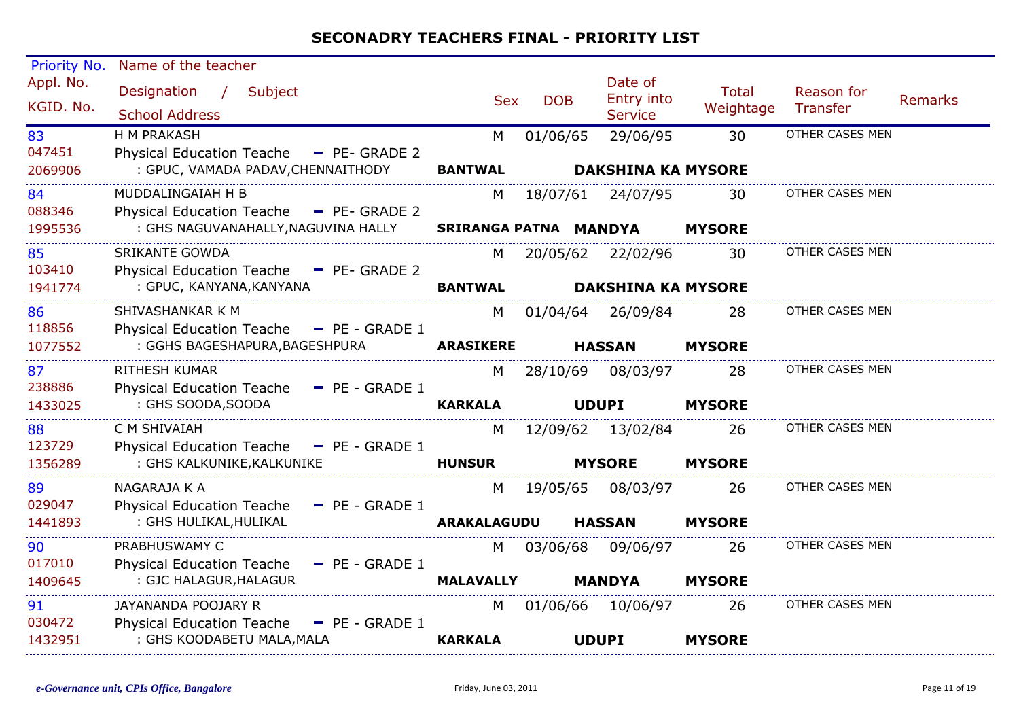| Priority No.            | Name of the teacher                                                                                             |                            |            |                                                |                           |                               |                |
|-------------------------|-----------------------------------------------------------------------------------------------------------------|----------------------------|------------|------------------------------------------------|---------------------------|-------------------------------|----------------|
| Appl. No.<br>KGID. No.  | Designation /<br>Subject<br><b>School Address</b>                                                               | <b>Sex</b>                 | <b>DOB</b> | Date of<br>Entry into<br><b>Service</b>        | <b>Total</b><br>Weightage | Reason for<br><b>Transfer</b> | <b>Remarks</b> |
| 83<br>047451<br>2069906 | H M PRAKASH<br>Physical Education Teache - PE- GRADE 2<br>: GPUC, VAMADA PADAV, CHENNAITHODY                    | M<br><b>BANTWAL</b>        | 01/06/65   | 29/06/95<br><b>DAKSHINA KA MYSORE</b>          | 30                        | OTHER CASES MEN               |                |
| 84<br>088346<br>1995536 | MUDDALINGAIAH H B<br><b>Physical Education Teache</b><br>$-$ PE- GRADE 2<br>: GHS NAGUVANAHALLY, NAGUVINA HALLY | M<br>SRIRANGA PATNA MANDYA | 18/07/61   | 24/07/95                                       | 30<br><b>MYSORE</b>       | OTHER CASES MEN               |                |
| 85<br>103410<br>1941774 | <b>SRIKANTE GOWDA</b><br>Physical Education Teache - PE- GRADE 2<br>: GPUC, KANYANA, KANYANA                    | M<br><b>BANTWAL</b>        |            | 20/05/62 22/02/96<br><b>DAKSHINA KA MYSORE</b> | 30                        | OTHER CASES MEN               |                |
| 86<br>118856<br>1077552 | SHIVASHANKAR K M<br>Physical Education Teache - PE - GRADE 1<br>: GGHS BAGESHAPURA, BAGESHPURA                  | M<br><b>ARASIKERE</b>      |            | 01/04/64 26/09/84<br><b>HASSAN</b>             | 28<br><b>MYSORE</b>       | OTHER CASES MEN               |                |
| 87<br>238886<br>1433025 | RITHESH KUMAR<br><b>Physical Education Teache</b><br>$-$ PE - GRADE 1<br>: GHS SOODA, SOODA                     | M<br><b>KARKALA</b>        | 28/10/69   | 08/03/97<br><b>UDUPI</b>                       | 28<br><b>MYSORE</b>       | OTHER CASES MEN               |                |
| 88<br>123729<br>1356289 | C M SHIVAIAH<br>Physical Education Teache - PE - GRADE 1<br>: GHS KALKUNIKE, KALKUNIKE                          | M<br><b>HUNSUR</b>         |            | 12/09/62 13/02/84<br><b>MYSORE</b>             | 26<br><b>MYSORE</b>       | OTHER CASES MEN               |                |
| 89<br>029047<br>1441893 | NAGARAJA K A<br><b>Physical Education Teache</b><br>$-$ PE - GRADE 1<br>: GHS HULIKAL, HULIKAL                  | M<br><b>ARAKALAGUDU</b>    | 19/05/65   | 08/03/97<br><b>HASSAN</b>                      | 26<br><b>MYSORE</b>       | OTHER CASES MEN               |                |
| 90<br>017010<br>1409645 | PRABHUSWAMY C<br><b>Physical Education Teache</b><br>$-$ PE - GRADE 1<br>: GJC HALAGUR, HALAGUR                 | M<br><b>MALAVALLY</b>      | 03/06/68   | 09/06/97<br><b>MANDYA</b>                      | 26<br><b>MYSORE</b>       | OTHER CASES MEN               |                |
| 91<br>030472<br>1432951 | JAYANANDA POOJARY R<br><b>Physical Education Teache</b><br>$-$ PE - GRADE 1<br>: GHS KOODABETU MALA, MALA       | M<br><b>KARKALA</b>        | 01/06/66   | 10/06/97<br><b>UDUPI</b>                       | 26<br><b>MYSORE</b>       | OTHER CASES MEN               |                |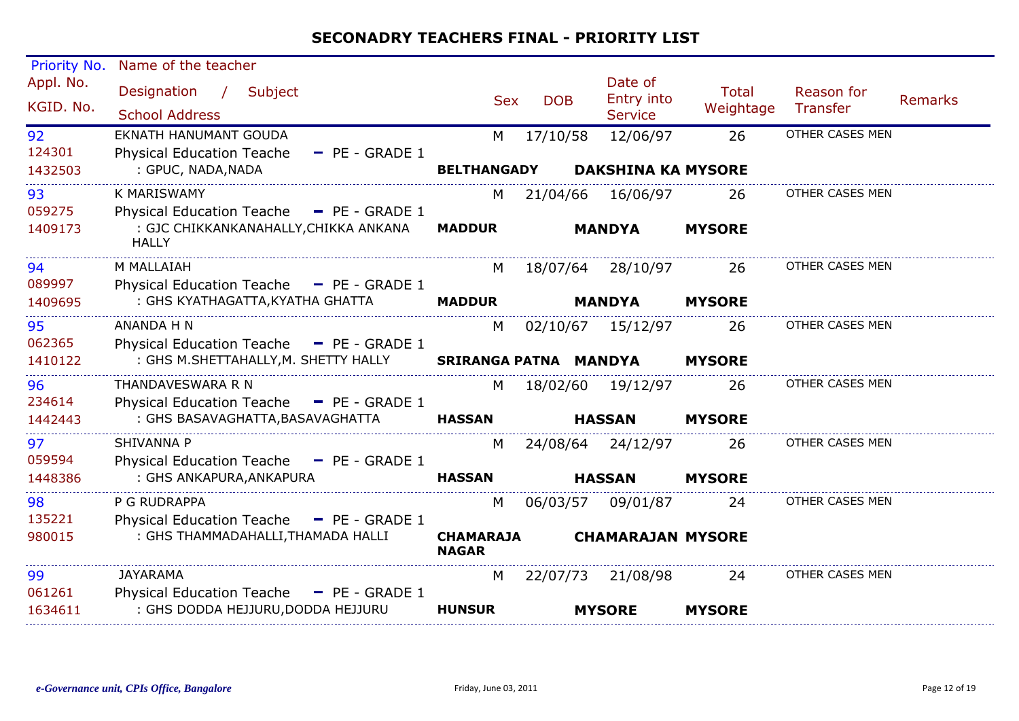| Priority No.            | Name of the teacher                                                                                 |                                  |            |                                                |                           |                        |                |
|-------------------------|-----------------------------------------------------------------------------------------------------|----------------------------------|------------|------------------------------------------------|---------------------------|------------------------|----------------|
| Appl. No.<br>KGID. No.  | Designation<br>$\frac{1}{2}$<br>Subject<br><b>School Address</b>                                    | <b>Sex</b>                       | <b>DOB</b> | Date of<br><b>Entry into</b><br><b>Service</b> | <b>Total</b><br>Weightage | Reason for<br>Transfer | <b>Remarks</b> |
| 92<br>124301<br>1432503 | EKNATH HANUMANT GOUDA<br><b>Physical Education Teache</b><br>$-$ PE - GRADE 1<br>: GPUC, NADA, NADA | M<br><b>BELTHANGADY</b>          | 17/10/58   | 12/06/97<br><b>DAKSHINA KA MYSORE</b>          | 26                        | OTHER CASES MEN        |                |
|                         |                                                                                                     |                                  |            |                                                |                           |                        |                |
| 93<br>059275            | K MARISWAMY<br>Physical Education Teache - PE - GRADE 1                                             | М                                | 21/04/66   | 16/06/97                                       | 26                        | OTHER CASES MEN        |                |
| 1409173                 | : GJC CHIKKANKANAHALLY, CHIKKA ANKANA<br><b>HALLY</b>                                               | <b>MADDUR</b>                    |            | <b>MANDYA</b>                                  | <b>MYSORE</b>             |                        |                |
| 94<br>089997            | M MALLAIAH<br>Physical Education Teache - PE - GRADE 1                                              | M                                |            | 18/07/64 28/10/97                              | 26                        | OTHER CASES MEN        |                |
| 1409695                 | : GHS KYATHAGATTA, KYATHA GHATTA                                                                    | <b>MADDUR</b>                    |            | <b>MANDYA</b>                                  | <b>MYSORE</b>             |                        |                |
| 95<br>062365            | ANANDA H N<br>Physical Education Teache - PE - GRADE 1                                              | M                                |            | 02/10/67 15/12/97                              | 26                        | OTHER CASES MEN        |                |
| 1410122                 | : GHS M.SHETTAHALLY, M. SHETTY HALLY                                                                | SRIRANGA PATNA MANDYA            |            |                                                | <b>MYSORE</b>             |                        |                |
| 96<br>234614            | THANDAVESWARA R N<br>Physical Education Teache - PE - GRADE 1                                       | M                                | 18/02/60   | 19/12/97                                       | 26                        | OTHER CASES MEN        |                |
| 1442443                 | : GHS BASAVAGHATTA, BASAVAGHATTA                                                                    | <b>HASSAN</b>                    |            | <b>HASSAN</b>                                  | <b>MYSORE</b>             |                        |                |
| 97<br>059594            | <b>SHIVANNA P</b><br>Physical Education Teache - PE - GRADE 1                                       | M                                |            | 24/08/64 24/12/97                              | 26                        | OTHER CASES MEN        |                |
| 1448386                 | : GHS ANKAPURA, ANKAPURA                                                                            | <b>HASSAN</b>                    |            | <b>HASSAN</b>                                  | <b>MYSORE</b>             |                        |                |
| 98<br>135221            | P G RUDRAPPA<br><b>Physical Education Teache</b><br>$-$ PE - GRADE 1                                | M                                |            | 06/03/57 09/01/87                              | 24                        | OTHER CASES MEN        |                |
| 980015                  | : GHS THAMMADAHALLI, THAMADA HALLI                                                                  | <b>CHAMARAJA</b><br><b>NAGAR</b> |            | <b>CHAMARAJAN MYSORE</b>                       |                           |                        |                |
| 99                      | JAYARAMA                                                                                            | M                                | 22/07/73   | 21/08/98                                       | 24                        | OTHER CASES MEN        |                |
| 061261<br>1634611       | Physical Education Teache $-$ PE - GRADE 1<br>: GHS DODDA HEJJURU, DODDA HEJJURU                    | <b>HUNSUR</b>                    |            | <b>MYSORE</b>                                  | <b>MYSORE</b>             |                        |                |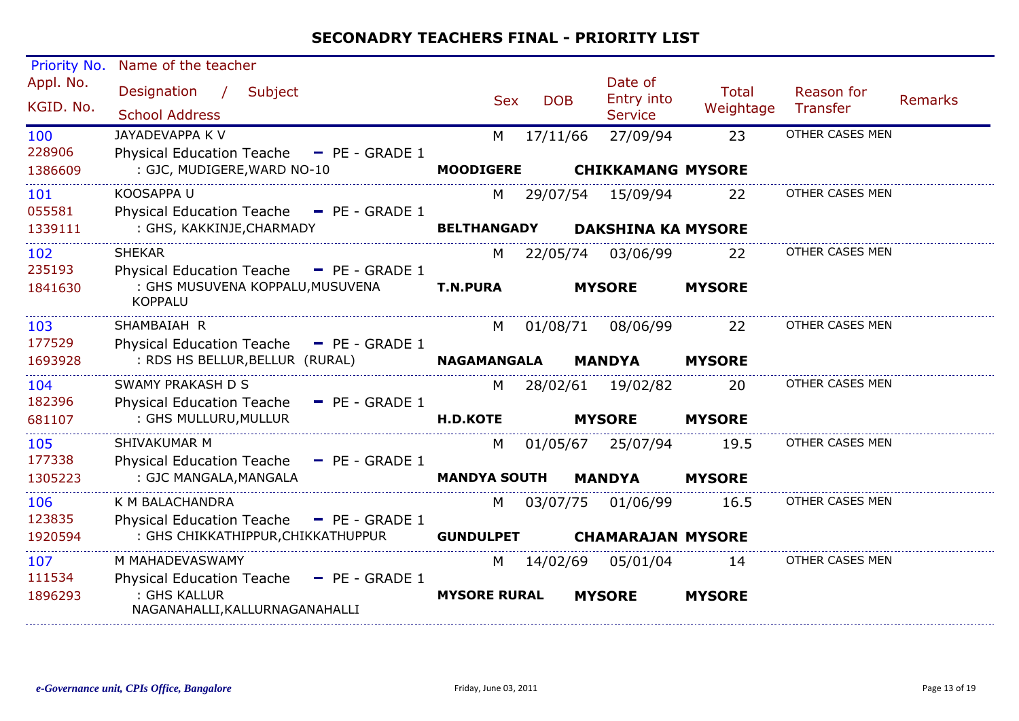| Priority No.             | Name of the teacher                                                                                                       |                          |            |                                         |                           |                        |                |
|--------------------------|---------------------------------------------------------------------------------------------------------------------------|--------------------------|------------|-----------------------------------------|---------------------------|------------------------|----------------|
| Appl. No.<br>KGID. No.   | Subject<br>Designation<br>$\mathcal{L}$<br><b>School Address</b>                                                          | <b>Sex</b>               | <b>DOB</b> | Date of<br>Entry into<br><b>Service</b> | <b>Total</b><br>Weightage | Reason for<br>Transfer | <b>Remarks</b> |
| 100<br>228906<br>1386609 | <b>JAYADEVAPPA K V</b><br><b>Physical Education Teache</b><br>$-$ PE - GRADE 1<br>: GJC, MUDIGERE, WARD NO-10             | M<br><b>MOODIGERE</b>    | 17/11/66   | 27/09/94<br><b>CHIKKAMANG MYSORE</b>    | 23                        | OTHER CASES MEN        |                |
| 101<br>055581<br>1339111 | KOOSAPPA U<br>Physical Education Teache - PE - GRADE 1<br>: GHS, KAKKINJE, CHARMADY                                       | M<br><b>BELTHANGADY</b>  | 29/07/54   | 15/09/94<br><b>DAKSHINA KA MYSORE</b>   | 22                        | OTHER CASES MEN        |                |
| 102<br>235193<br>1841630 | <b>SHEKAR</b><br>Physical Education Teache - PE - GRADE 1<br>: GHS MUSUVENA KOPPALU, MUSUVENA<br><b>KOPPALU</b>           | M<br><b>T.N.PURA</b>     | 22/05/74   | 03/06/99<br><b>MYSORE</b>               | 22<br><b>MYSORE</b>       | OTHER CASES MEN        |                |
| 103<br>177529<br>1693928 | SHAMBAIAH R<br>Physical Education Teache - PE - GRADE 1<br>: RDS HS BELLUR, BELLUR (RURAL)                                | M<br><b>NAGAMANGALA</b>  | 01/08/71   | 08/06/99<br><b>MANDYA</b>               | 22<br><b>MYSORE</b>       | OTHER CASES MEN        |                |
| 104<br>182396<br>681107  | SWAMY PRAKASH D S<br><b>Physical Education Teache</b><br>$-$ PE - GRADE 1<br>: GHS MULLURU, MULLUR                        | M<br><b>H.D.KOTE</b>     | 28/02/61   | 19/02/82<br><b>MYSORE</b>               | 20<br><b>MYSORE</b>       | OTHER CASES MEN        |                |
| 105<br>177338<br>1305223 | SHIVAKUMAR M<br><b>Physical Education Teache</b><br>$P = P = GRADE1$<br>: GJC MANGALA, MANGALA                            | M<br><b>MANDYA SOUTH</b> | 01/05/67   | 25/07/94<br><b>MANDYA</b>               | 19.5<br><b>MYSORE</b>     | OTHER CASES MEN        |                |
| 106<br>123835<br>1920594 | K M BALACHANDRA<br><b>Physical Education Teache</b><br>$-$ PE - GRADE 1<br>: GHS CHIKKATHIPPUR, CHIKKATHUPPUR             | M<br><b>GUNDULPET</b>    | 03/07/75   | 01/06/99<br><b>CHAMARAJAN MYSORE</b>    | 16.5                      | OTHER CASES MEN        |                |
| 107<br>111534<br>1896293 | M MAHADEVASWAMY<br><b>Physical Education Teache</b><br>$-$ PE - GRADE 1<br>: GHS KALLUR<br>NAGANAHALLI, KALLURNAGANAHALLI | M<br><b>MYSORE RURAL</b> | 14/02/69   | 05/01/04<br><b>MYSORE</b>               | 14<br><b>MYSORE</b>       | OTHER CASES MEN        |                |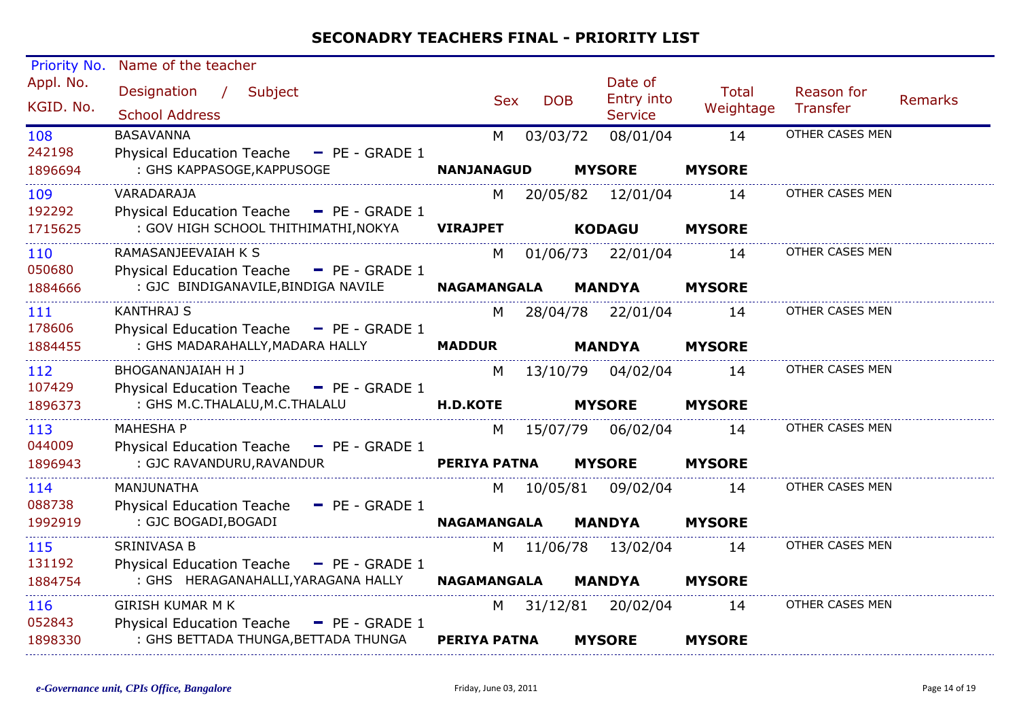| Priority No.           | Name of the teacher                                                             |                                                                                                                                                                                                                                |            |                                         |                           |                        |                |
|------------------------|---------------------------------------------------------------------------------|--------------------------------------------------------------------------------------------------------------------------------------------------------------------------------------------------------------------------------|------------|-----------------------------------------|---------------------------|------------------------|----------------|
| Appl. No.<br>KGID. No. | Designation /<br>Subject<br><b>School Address</b>                               | <b>Sex</b>                                                                                                                                                                                                                     | <b>DOB</b> | Date of<br>Entry into<br><b>Service</b> | <b>Total</b><br>Weightage | Reason for<br>Transfer | <b>Remarks</b> |
| 108<br>242198          | <b>BASAVANNA</b><br>Physical Education Teache - PE - GRADE 1                    | M                                                                                                                                                                                                                              | 03/03/72   | 08/01/04                                | 14                        | OTHER CASES MEN        |                |
| 1896694                | : GHS KAPPASOGE, KAPPUSOGE                                                      | <b>NANJANAGUD</b>                                                                                                                                                                                                              |            | <b>MYSORE</b>                           | <b>MYSORE</b>             |                        |                |
| 109<br>192292          | VARADARAJA<br>Physical Education Teache - PE - GRADE 1                          | M                                                                                                                                                                                                                              |            | 20/05/82 12/01/04                       | 14                        | OTHER CASES MEN        |                |
| 1715625                | : GOV HIGH SCHOOL THITHIMATHI, NOKYA                                            | <b>VIRAJPET</b>                                                                                                                                                                                                                |            | <b>KODAGU</b>                           | <b>MYSORE</b>             |                        |                |
| 110<br>050680          | RAMASANJEEVAIAH K S<br>Physical Education Teache - PE - GRADE 1                 | M                                                                                                                                                                                                                              |            | 01/06/73 22/01/04                       | 14                        | OTHER CASES MEN        |                |
| 1884666                | : GJC BINDIGANAVILE, BINDIGA NAVILE                                             | <b>NAGAMANGALA</b>                                                                                                                                                                                                             |            | <b>MANDYA</b>                           | <b>MYSORE</b>             |                        |                |
| 111<br>178606          | <b>KANTHRAJ S</b><br>Physical Education Teache - PE - GRADE 1                   | M.                                                                                                                                                                                                                             |            | 28/04/78 22/01/04                       | 14                        | OTHER CASES MEN        |                |
| 1884455                | : GHS MADARAHALLY, MADARA HALLY                                                 | <b>MADDUR</b>                                                                                                                                                                                                                  |            | <b>MANDYA</b>                           | <b>MYSORE</b>             |                        |                |
| 112<br>107429          | BHOGANANJAIAH H J<br>Physical Education Teache - PE - GRADE 1                   | M                                                                                                                                                                                                                              |            | 13/10/79 04/02/04                       | 14                        | OTHER CASES MEN        |                |
| 1896373                | : GHS M.C.THALALU, M.C.THALALU                                                  | <b>H.D.KOTE</b>                                                                                                                                                                                                                |            | <b>MYSORE</b>                           | <b>MYSORE</b>             |                        |                |
| 113<br>044009          | <b>MAHESHA P</b><br>Physical Education Teache - PE - GRADE 1                    |                                                                                                                                                                                                                                |            | M 15/07/79 06/02/04                     | 14                        | OTHER CASES MEN        |                |
| 1896943                | : GJC RAVANDURU, RAVANDUR                                                       | <b>PERIYA PATNA</b>                                                                                                                                                                                                            |            | <b>MYSORE</b>                           | <b>MYSORE</b>             |                        |                |
| 114<br>088738          | MANJUNATHA<br>Physical Education Teache - PE - GRADE 1                          | M                                                                                                                                                                                                                              |            | 10/05/81 09/02/04                       | 14                        | OTHER CASES MEN        |                |
| 1992919                | : GJC BOGADI, BOGADI                                                            | <b>NAGAMANGALA</b>                                                                                                                                                                                                             |            | <b>MANDYA</b>                           | <b>MYSORE</b>             |                        |                |
| 115                    | SRINIVASA B                                                                     |                                                                                                                                                                                                                                |            | M 11/06/78 13/02/04                     | 14                        | OTHER CASES MEN        |                |
| 131192<br>1884754      | Physical Education Teache - PE - GRADE 1<br>: GHS HERAGANAHALLI, YARAGANA HALLY | <b>NAGAMANGALA</b>                                                                                                                                                                                                             |            | <b>MANDYA</b>                           | <b>MYSORE</b>             |                        |                |
| 116<br>052843          | <b>GIRISH KUMAR M K</b><br>Physical Education Teache - PE - GRADE 1             | M and the set of the set of the set of the set of the set of the set of the set of the set of the set of the set of the set of the set of the set of the set of the set of the set of the set of the set of the set of the set |            | 31/12/81 20/02/04                       | 14                        | OTHER CASES MEN        |                |
| 1898330                | : GHS BETTADA THUNGA, BETTADA THUNGA                                            | <b>PERIYA PATNA</b>                                                                                                                                                                                                            |            | <b>MYSORE</b>                           | <b>MYSORE</b>             |                        |                |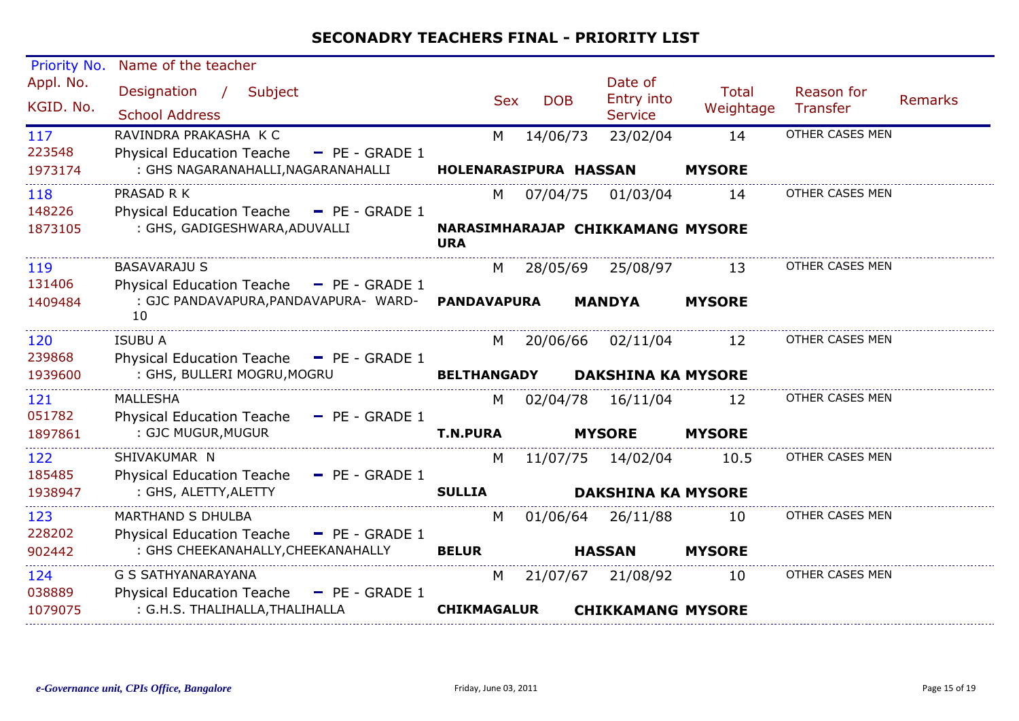| Priority No.             | Name of the teacher                                                                                                    |                            |            |                                                |                           |                               |                |
|--------------------------|------------------------------------------------------------------------------------------------------------------------|----------------------------|------------|------------------------------------------------|---------------------------|-------------------------------|----------------|
| Appl. No.<br>KGID. No.   | Designation /<br>Subject<br><b>School Address</b>                                                                      | <b>Sex</b>                 | <b>DOB</b> | Date of<br>Entry into<br><b>Service</b>        | <b>Total</b><br>Weightage | Reason for<br><b>Transfer</b> | <b>Remarks</b> |
| 117<br>223548<br>1973174 | RAVINDRA PRAKASHA K C<br><b>Physical Education Teache</b><br>$-$ PE - GRADE 1<br>: GHS NAGARANAHALLI, NAGARANAHALLI    | M<br>HOLENARASIPURA HASSAN | 14/06/73   | 23/02/04                                       | 14<br><b>MYSORE</b>       | OTHER CASES MEN               |                |
| 118<br>148226<br>1873105 | PRASAD R K<br>Physical Education Teache - PE - GRADE 1<br>: GHS, GADIGESHWARA, ADUVALLI                                | M<br><b>URA</b>            | 07/04/75   | 01/03/04<br>NARASIMHARAJAP CHIKKAMANG MYSORE   | 14                        | OTHER CASES MEN               |                |
| 119<br>131406<br>1409484 | <b>BASAVARAJU S</b><br>Physical Education Teache - PE - GRADE 1<br>: GJC PANDAVAPURA, PANDAVAPURA- WARD-<br>10         | M<br><b>PANDAVAPURA</b>    |            | 28/05/69 25/08/97<br><b>MANDYA</b>             | 13<br><b>MYSORE</b>       | OTHER CASES MEN               |                |
| 120<br>239868<br>1939600 | <b>ISUBU A</b><br>Physical Education Teache - PE - GRADE 1<br>: GHS, BULLERI MOGRU, MOGRU                              | M<br><b>BELTHANGADY</b>    |            | 20/06/66 02/11/04<br><b>DAKSHINA KA MYSORE</b> | 12                        | OTHER CASES MEN               |                |
| 121<br>051782<br>1897861 | <b>MALLESHA</b><br>Physical Education Teache<br>$-$ PE - GRADE 1<br>: GJC MUGUR, MUGUR                                 | M<br><b>T.N.PURA</b>       | 02/04/78   | 16/11/04<br><b>MYSORE</b>                      | 12<br><b>MYSORE</b>       | OTHER CASES MEN               |                |
| 122<br>185485<br>1938947 | SHIVAKUMAR N<br>Physical Education Teache - PE - GRADE 1<br>: GHS, ALETTY, ALETTY                                      | M<br><b>SULLIA</b>         |            | 11/07/75 14/02/04<br><b>DAKSHINA KA MYSORE</b> | 10.5                      | OTHER CASES MEN               |                |
| 123<br>228202<br>902442  | <b>MARTHAND S DHULBA</b><br><b>Physical Education Teache</b><br>$-$ PE - GRADE 1<br>: GHS CHEEKANAHALLY, CHEEKANAHALLY | M<br><b>BELUR</b>          |            | 01/06/64 26/11/88<br><b>HASSAN</b>             | 10<br><b>MYSORE</b>       | OTHER CASES MEN               |                |
| 124<br>038889<br>1079075 | <b>G S SATHYANARAYANA</b><br>Physical Education Teache - PE - GRADE 1<br>: G.H.S. THALIHALLA, THALIHALLA               | M<br><b>CHIKMAGALUR</b>    |            | 21/07/67 21/08/92<br><b>CHIKKAMANG MYSORE</b>  | 10                        | OTHER CASES MEN               |                |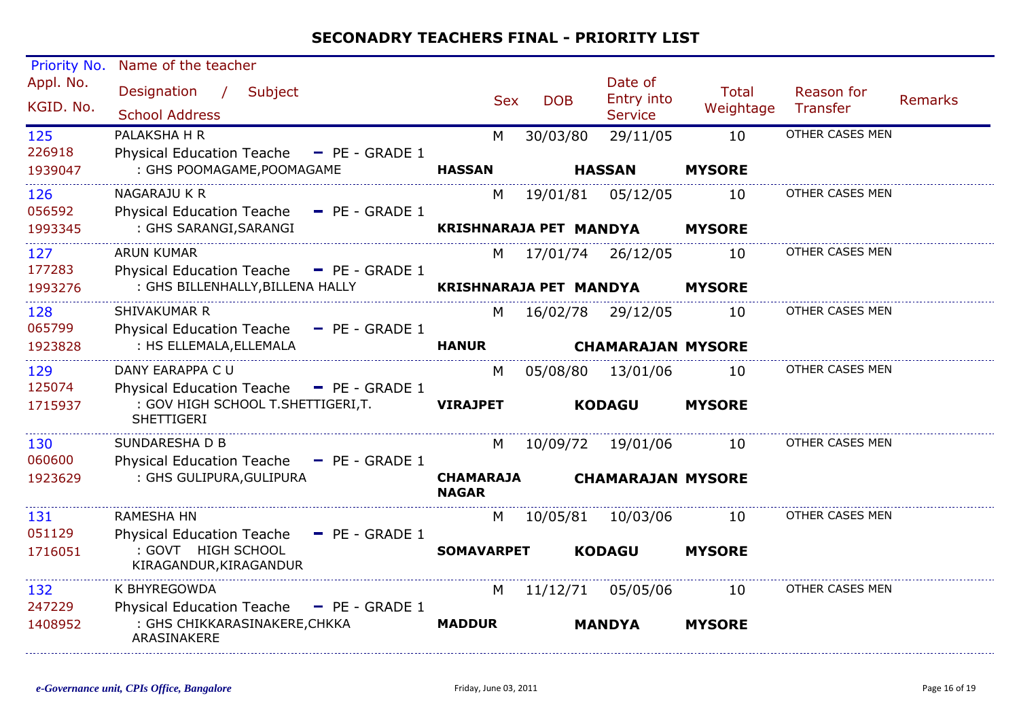| Priority No.           | Name of the teacher                                                                                  |                                  |            |                                         |                           |                        |                |
|------------------------|------------------------------------------------------------------------------------------------------|----------------------------------|------------|-----------------------------------------|---------------------------|------------------------|----------------|
| Appl. No.<br>KGID. No. | Designation<br>$\mathcal{L}$<br>Subject<br><b>School Address</b>                                     | <b>Sex</b>                       | <b>DOB</b> | Date of<br>Entry into<br><b>Service</b> | <b>Total</b><br>Weightage | Reason for<br>Transfer | <b>Remarks</b> |
| 125<br>226918          | PALAKSHA H R<br>Physical Education Teache - PE - GRADE 1                                             | M                                | 30/03/80   | 29/11/05                                | 10                        | OTHER CASES MEN        |                |
| 1939047                | : GHS POOMAGAME, POOMAGAME                                                                           | <b>HASSAN</b>                    |            | <b>HASSAN</b>                           | <b>MYSORE</b>             |                        |                |
| 126<br>056592          | NAGARAJU K R<br>Physical Education Teache - PE - GRADE 1                                             | M                                | 19/01/81   | 05/12/05                                | 10                        | OTHER CASES MEN        |                |
| 1993345                | : GHS SARANGI, SARANGI                                                                               | <b>KRISHNARAJA PET MANDYA</b>    |            |                                         | <b>MYSORE</b>             |                        |                |
| 127<br>177283          | <b>ARUN KUMAR</b><br>Physical Education Teache - PE - GRADE 1                                        | M                                |            | 17/01/74 26/12/05                       | 10                        | OTHER CASES MEN        |                |
| 1993276                | : GHS BILLENHALLY, BILLENA HALLY                                                                     | <b>KRISHNARAJA PET MANDYA</b>    |            |                                         | <b>MYSORE</b>             |                        |                |
| 128<br>065799          | SHIVAKUMAR R<br>Physical Education Teache - PE - GRADE 1                                             | M                                |            | 16/02/78 29/12/05                       | 10                        | OTHER CASES MEN        |                |
| 1923828                | : HS ELLEMALA, ELLEMALA                                                                              | <b>HANUR</b>                     |            | <b>CHAMARAJAN MYSORE</b>                |                           |                        |                |
| 129                    | DANY EARAPPA C U                                                                                     | M                                | 05/08/80   | 13/01/06                                | 10                        | OTHER CASES MEN        |                |
| 125074<br>1715937      | Physical Education Teache - PE - GRADE 1<br>: GOV HIGH SCHOOL T.SHETTIGERI,T.<br><b>SHETTIGERI</b>   | <b>VIRAJPET</b>                  |            | <b>KODAGU</b>                           | <b>MYSORE</b>             |                        |                |
| 130                    | SUNDARESHA D B                                                                                       | M                                |            | 10/09/72 19/01/06                       | 10                        | OTHER CASES MEN        |                |
| 060600<br>1923629      | Physical Education Teache - PE - GRADE 1<br>: GHS GULIPURA, GULIPURA                                 | <b>CHAMARAJA</b><br><b>NAGAR</b> |            | <b>CHAMARAJAN MYSORE</b>                |                           |                        |                |
| 131                    | <b>RAMESHA HN</b>                                                                                    | M                                |            | 10/05/81 10/03/06                       | 10                        | OTHER CASES MEN        |                |
| 051129<br>1716051      | Physical Education Teache - PE - GRADE 1<br>: GOVT HIGH SCHOOL<br>KIRAGANDUR, KIRAGANDUR             | <b>SOMAVARPET</b>                |            | <b>KODAGU</b>                           | <b>MYSORE</b>             |                        |                |
| 132                    | K BHYREGOWDA                                                                                         | M                                | 11/12/71   | 05/05/06                                | 10                        | OTHER CASES MEN        |                |
| 247229<br>1408952      | <b>Physical Education Teache</b><br>$-$ PE - GRADE 1<br>: GHS CHIKKARASINAKERE, CHKKA<br>ARASINAKERE | <b>MADDUR</b>                    |            | <b>MANDYA</b>                           | <b>MYSORE</b>             |                        |                |
|                        |                                                                                                      |                                  |            |                                         |                           |                        |                |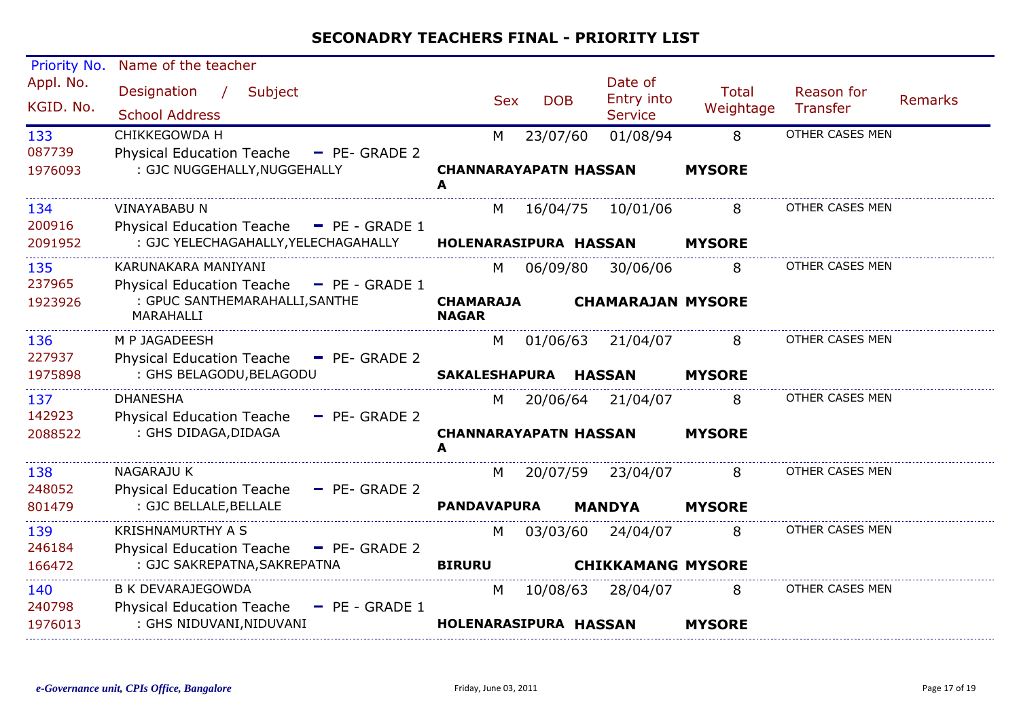| Priority No.           | Name of the teacher                                                              |                                   |            |                                                |                           |                               |                |
|------------------------|----------------------------------------------------------------------------------|-----------------------------------|------------|------------------------------------------------|---------------------------|-------------------------------|----------------|
| Appl. No.<br>KGID. No. | Designation<br>$\frac{1}{2}$<br>Subject<br><b>School Address</b>                 | <b>Sex</b>                        | <b>DOB</b> | Date of<br><b>Entry into</b><br><b>Service</b> | <b>Total</b><br>Weightage | Reason for<br><b>Transfer</b> | <b>Remarks</b> |
| 133                    | CHIKKEGOWDA H                                                                    | M                                 | 23/07/60   | 01/08/94                                       | 8                         | OTHER CASES MEN               |                |
| 087739<br>1976093      | Physical Education Teache<br>- PE- GRADE 2<br>: GJC NUGGEHALLY, NUGGEHALLY       | <b>CHANNARAYAPATN HASSAN</b><br>A |            |                                                | <b>MYSORE</b>             |                               |                |
| 134                    | <b>VINAYABABU N</b>                                                              | M                                 | 16/04/75   | 10/01/06                                       | 8                         | OTHER CASES MEN               |                |
| 200916                 | <b>Physical Education Teache</b><br>$-$ PE - GRADE 1                             |                                   |            |                                                |                           |                               |                |
| 2091952                | : GJC YELECHAGAHALLY, YELECHAGAHALLY                                             | HOLENARASIPURA HASSAN             |            |                                                | <b>MYSORE</b>             |                               |                |
| 135<br>237965          | KARUNAKARA MANIYANI<br><b>Physical Education Teache</b><br>$-$ PE - GRADE 1      | M                                 | 06/09/80   | 30/06/06                                       | 8                         | OTHER CASES MEN               |                |
| 1923926                | : GPUC SANTHEMARAHALLI, SANTHE<br>MARAHALLI                                      | <b>CHAMARAJA</b><br><b>NAGAR</b>  |            | <b>CHAMARAJAN MYSORE</b>                       |                           |                               |                |
| 136                    | M P JAGADEESH                                                                    | M                                 | 01/06/63   | 21/04/07                                       | 8                         | OTHER CASES MEN               |                |
| 227937                 | Physical Education Teache - PE- GRADE 2                                          |                                   |            |                                                |                           |                               |                |
| 1975898                | : GHS BELAGODU, BELAGODU                                                         | <b>SAKALESHAPURA</b>              |            | <b>HASSAN</b>                                  | <b>MYSORE</b>             |                               |                |
| 137                    | <b>DHANESHA</b>                                                                  | M                                 |            | 20/06/64 21/04/07                              | 8                         | OTHER CASES MEN               |                |
| 142923<br>2088522      | <b>Physical Education Teache</b><br>$-$ PE- GRADE 2<br>: GHS DIDAGA, DIDAGA      | <b>CHANNARAYAPATN HASSAN</b><br>А |            |                                                | <b>MYSORE</b>             |                               |                |
| 138                    | NAGARAJU K                                                                       | M                                 |            | 20/07/59 23/04/07                              | 8                         | OTHER CASES MEN               |                |
| 248052                 | <b>Physical Education Teache</b><br>$P = P - G$ RADE 2                           |                                   |            |                                                |                           |                               |                |
| 801479                 | : GJC BELLALE, BELLALE                                                           | <b>PANDAVAPURA</b>                |            | <b>MANDYA</b>                                  | <b>MYSORE</b>             |                               |                |
| 139                    | <b>KRISHNAMURTHY A S</b>                                                         | M                                 | 03/03/60   | 24/04/07                                       | 8                         | OTHER CASES MEN               |                |
| 246184                 | <b>Physical Education Teache</b><br>$-$ PE- GRADE 2                              |                                   |            |                                                |                           |                               |                |
| 166472                 | : GJC SAKREPATNA, SAKREPATNA                                                     | <b>BIRURU</b>                     |            | <b>CHIKKAMANG MYSORE</b>                       |                           |                               |                |
| 140<br>240798          | <b>B K DEVARAJEGOWDA</b><br><b>Physical Education Teache</b><br>$-$ PE - GRADE 1 | M                                 | 10/08/63   | 28/04/07                                       | 8                         | OTHER CASES MEN               |                |
| 1976013                | : GHS NIDUVANI, NIDUVANI                                                         | HOLENARASIPURA HASSAN             |            |                                                | <b>MYSORE</b>             |                               |                |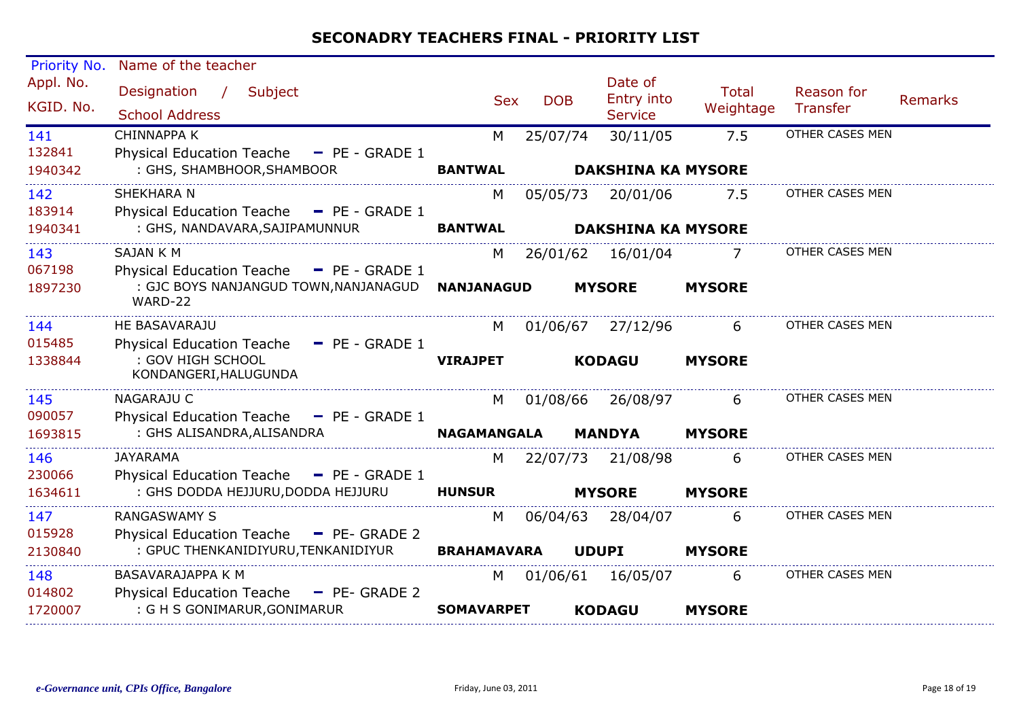| Priority No.             | Name of the teacher                                                                                                          |                         |            |                                         |                           |                               |                |
|--------------------------|------------------------------------------------------------------------------------------------------------------------------|-------------------------|------------|-----------------------------------------|---------------------------|-------------------------------|----------------|
| Appl. No.<br>KGID. No.   | Subject<br>Designation<br>$\sqrt{2}$<br><b>School Address</b>                                                                | <b>Sex</b>              | <b>DOB</b> | Date of<br>Entry into<br><b>Service</b> | <b>Total</b><br>Weightage | Reason for<br><b>Transfer</b> | <b>Remarks</b> |
| 141<br>132841<br>1940342 | <b>CHINNAPPA K</b><br><b>Physical Education Teache</b><br>$-$ PE - GRADE 1<br>: GHS, SHAMBHOOR, SHAMBOOR                     | M<br><b>BANTWAL</b>     | 25/07/74   | 30/11/05<br><b>DAKSHINA KA MYSORE</b>   | 7.5                       | OTHER CASES MEN               |                |
| 142<br>183914<br>1940341 | SHEKHARA N<br>Physical Education Teache - PE - GRADE 1<br>: GHS, NANDAVARA, SAJIPAMUNNUR                                     | M<br><b>BANTWAL</b>     | 05/05/73   | 20/01/06<br><b>DAKSHINA KA MYSORE</b>   | 7.5                       | OTHER CASES MEN               |                |
| 143<br>067198<br>1897230 | <b>SAJAN K M</b><br><b>Physical Education Teache</b><br>$-$ PE - GRADE 1<br>: GJC BOYS NANJANGUD TOWN, NANJANAGUD<br>WARD-22 | M<br><b>NANJANAGUD</b>  | 26/01/62   | 16/01/04<br><b>MYSORE</b>               | 7<br><b>MYSORE</b>        | OTHER CASES MEN               |                |
| 144<br>015485<br>1338844 | HE BASAVARAJU<br><b>Physical Education Teache</b><br>$-$ PE - GRADE 1<br>: GOV HIGH SCHOOL<br>KONDANGERI, HALUGUNDA          | M<br><b>VIRAJPET</b>    | 01/06/67   | 27/12/96<br><b>KODAGU</b>               | 6<br><b>MYSORE</b>        | OTHER CASES MEN               |                |
| 145<br>090057<br>1693815 | <b>NAGARAJU C</b><br>Physical Education Teache - PE - GRADE 1<br>: GHS ALISANDRA, ALISANDRA                                  | M<br><b>NAGAMANGALA</b> | 01/08/66   | 26/08/97<br><b>MANDYA</b>               | 6<br><b>MYSORE</b>        | OTHER CASES MEN               |                |
| 146<br>230066<br>1634611 | <b>JAYARAMA</b><br><b>Physical Education Teache</b><br>$-$ PE - GRADE 1<br>: GHS DODDA HEJJURU, DODDA HEJJURU                | M<br><b>HUNSUR</b>      | 22/07/73   | 21/08/98<br><b>MYSORE</b>               | 6<br><b>MYSORE</b>        | OTHER CASES MEN               |                |
| 147<br>015928<br>2130840 | <b>RANGASWAMY S</b><br><b>Physical Education Teache</b><br>- PE- GRADE 2<br>: GPUC THENKANIDIYURU, TENKANIDIYUR              | M<br><b>BRAHAMAVARA</b> | 06/04/63   | 28/04/07<br><b>UDUPI</b>                | 6<br><b>MYSORE</b>        | OTHER CASES MEN               |                |
| 148<br>014802<br>1720007 | BASAVARAJAPPA K M<br><b>Physical Education Teache</b><br>$-$ PE- GRADE 2<br>: G H S GONIMARUR, GONIMARUR                     | M<br><b>SOMAVARPET</b>  | 01/06/61   | 16/05/07<br><b>KODAGU</b>               | 6<br><b>MYSORE</b>        | OTHER CASES MEN               |                |